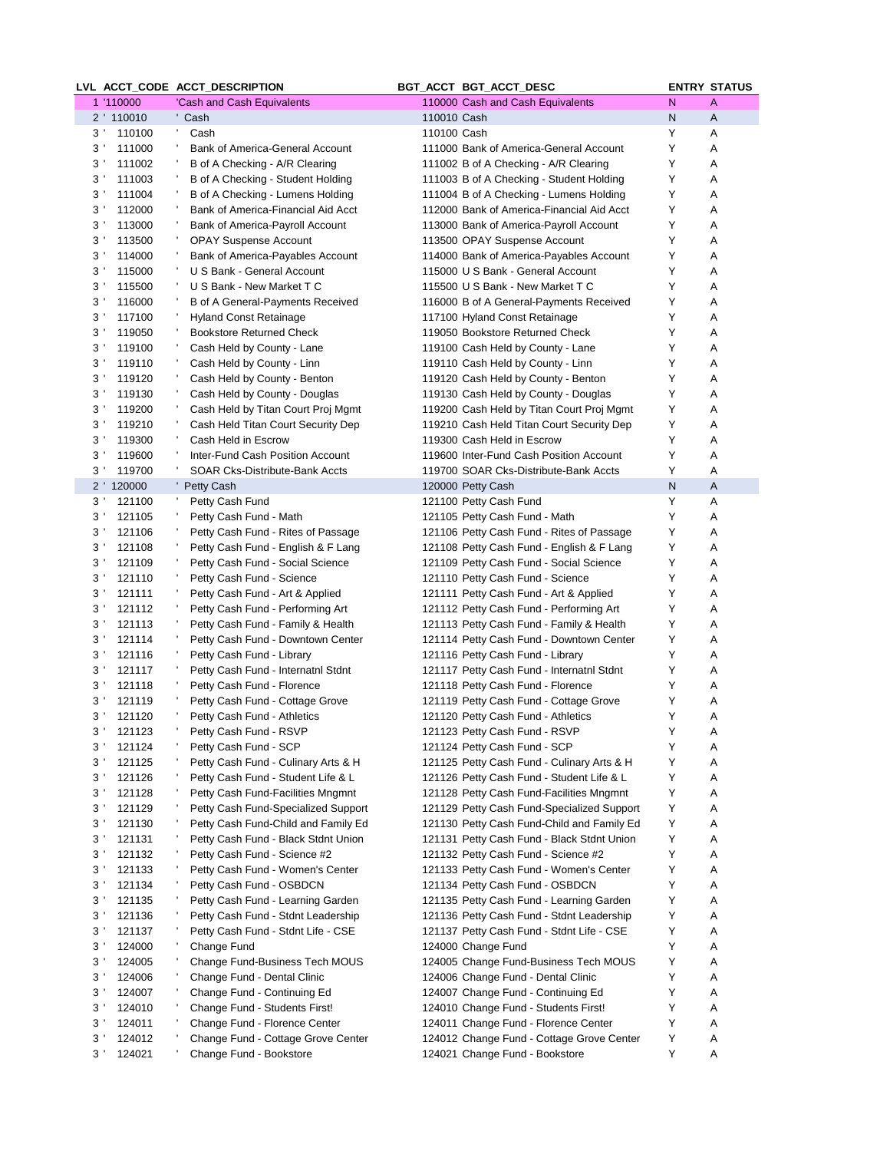|                |                          | LVL ACCT_CODE ACCT_DESCRIPTION                                           | BGT_ACCT BGT_ACCT_DESC                                                                   |        | <b>ENTRY STATUS</b> |
|----------------|--------------------------|--------------------------------------------------------------------------|------------------------------------------------------------------------------------------|--------|---------------------|
|                | 1 '110000                | 'Cash and Cash Equivalents                                               | 110000 Cash and Cash Equivalents                                                         | N      | A                   |
|                | 2 ' 110010               | ' Cash                                                                   | 110010 Cash                                                                              | N      | A                   |
|                | 3 <sup>1</sup><br>110100 | Cash                                                                     | 110100 Cash                                                                              | Υ      | Α                   |
| 3 <sup>1</sup> | 111000                   | Bank of America-General Account                                          | 111000 Bank of America-General Account                                                   | Y      | Α                   |
| $3^{\prime}$   | 111002                   | B of A Checking - A/R Clearing                                           | 111002 B of A Checking - A/R Clearing                                                    | Y      | Α                   |
| $3^{\prime}$   | 111003                   | B of A Checking - Student Holding                                        | 111003 B of A Checking - Student Holding                                                 | Υ      | Α                   |
| 3 <sup>1</sup> | 111004                   | B of A Checking - Lumens Holding                                         | 111004 B of A Checking - Lumens Holding                                                  | Y      | Α                   |
| 3 <sup>1</sup> | 112000                   | Bank of America-Financial Aid Acct                                       | 112000 Bank of America-Financial Aid Acct                                                | Υ      | Α                   |
| $3^{\prime}$   | 113000                   | Bank of America-Payroll Account                                          | 113000 Bank of America-Payroll Account                                                   | Y      | Α                   |
| 3 <sup>1</sup> | 113500                   | <b>OPAY Suspense Account</b>                                             | 113500 OPAY Suspense Account                                                             | Y      | Α                   |
| 3 <sup>1</sup> | 114000                   | Bank of America-Payables Account                                         | 114000 Bank of America-Payables Account                                                  | Y      | Α                   |
| 3 <sup>1</sup> | 115000                   | U S Bank - General Account                                               | 115000 U S Bank - General Account                                                        | Y      | Α                   |
| 3 <sup>1</sup> | 115500                   | U S Bank - New Market T C                                                | 115500 U S Bank - New Market T C                                                         | Y      | Α                   |
| 3'             | 116000                   | B of A General-Payments Received                                         | 116000 B of A General-Payments Received                                                  | Υ      | Α                   |
| 3 <sup>1</sup> | 117100                   | <b>Hyland Const Retainage</b>                                            | 117100 Hyland Const Retainage                                                            | Y      | Α                   |
| 3 <sup>1</sup> | 119050                   | <b>Bookstore Returned Check</b>                                          | 119050 Bookstore Returned Check                                                          | Υ      | Α                   |
| 3 <sup>1</sup> | 119100                   | Cash Held by County - Lane                                               | 119100 Cash Held by County - Lane                                                        | Υ      | Α                   |
| 3 <sup>1</sup> | 119110                   | Cash Held by County - Linn                                               | 119110 Cash Held by County - Linn                                                        | Υ      | Α                   |
| $3^{\prime}$   | 119120                   | Cash Held by County - Benton                                             | 119120 Cash Held by County - Benton                                                      | Y      | Α                   |
| 3 <sup>1</sup> | 119130                   | Cash Held by County - Douglas                                            | 119130 Cash Held by County - Douglas                                                     | Υ      | Α                   |
| $3^{\prime}$   | 119200                   | Cash Held by Titan Court Proj Mgmt                                       | 119200 Cash Held by Titan Court Proj Mgmt                                                | Y      | Α                   |
| $3^{\prime}$   | 119210                   | Cash Held Titan Court Security Dep                                       | 119210 Cash Held Titan Court Security Dep                                                | Υ      | Α                   |
| $3^{\prime}$   | 119300                   | Cash Held in Escrow                                                      | 119300 Cash Held in Escrow                                                               | Υ      | Α                   |
|                | 3 <sup>1</sup><br>119600 | Inter-Fund Cash Position Account                                         | 119600 Inter-Fund Cash Position Account                                                  | Y      | Α                   |
| 3 <sup>1</sup> | 119700                   | SOAR Cks-Distribute-Bank Accts                                           | 119700 SOAR Cks-Distribute-Bank Accts                                                    | Υ      | Α                   |
|                | 2 ' 120000               | ' Petty Cash                                                             | 120000 Petty Cash                                                                        | N      | Α                   |
|                | 3 <sup>1</sup><br>121100 | Petty Cash Fund                                                          | 121100 Petty Cash Fund                                                                   | Υ      | Α                   |
|                | 3 <sup>1</sup><br>121105 | Petty Cash Fund - Math                                                   | 121105 Petty Cash Fund - Math                                                            | Υ      | Α                   |
| 3 <sup>1</sup> | 121106                   | Petty Cash Fund - Rites of Passage                                       | 121106 Petty Cash Fund - Rites of Passage                                                | Υ      | Α                   |
| 3 <sup>1</sup> | 121108                   | Petty Cash Fund - English & F Lang                                       | 121108 Petty Cash Fund - English & F Lang                                                | Υ      | Α                   |
| 3'             | 121109                   | Petty Cash Fund - Social Science                                         | 121109 Petty Cash Fund - Social Science                                                  | Y      | A                   |
| 3 <sup>1</sup> | 121110                   | Petty Cash Fund - Science                                                | 121110 Petty Cash Fund - Science                                                         | Y      | Α                   |
| 3 <sup>1</sup> | 121111                   | Petty Cash Fund - Art & Applied                                          | 121111 Petty Cash Fund - Art & Applied                                                   | Υ      | Α                   |
| $3^{\prime}$   | 121112                   | Petty Cash Fund - Performing Art                                         | 121112 Petty Cash Fund - Performing Art                                                  | Y      | Α                   |
| 3 <sup>1</sup> | 121113                   | Petty Cash Fund - Family & Health                                        | 121113 Petty Cash Fund - Family & Health                                                 | Υ      | Α                   |
|                | 3 <sup>1</sup><br>121114 | Petty Cash Fund - Downtown Center                                        | 121114 Petty Cash Fund - Downtown Center                                                 | Y      | Α                   |
| $3^{\prime}$   | 121116                   | Petty Cash Fund - Library                                                | 121116 Petty Cash Fund - Library                                                         | Υ      | Α                   |
| $3^{\prime}$   | 121117                   | Petty Cash Fund - Internatnl Stdnt                                       | 121117 Petty Cash Fund - Internatnl Stdnt                                                | Y      | Α                   |
| 3'             | 121118                   | Petty Cash Fund - Florence                                               | 121118 Petty Cash Fund - Florence                                                        | Y      | Α                   |
| 3 <sup>1</sup> | 121119                   | Petty Cash Fund - Cottage Grove                                          | 121119 Petty Cash Fund - Cottage Grove                                                   | Y      | Α                   |
|                | 3'<br>121120             | Petty Cash Fund - Athletics                                              | 121120 Petty Cash Fund - Athletics                                                       | Υ<br>Y | Α                   |
|                | 3 <sup>1</sup><br>121123 | Petty Cash Fund - RSVP                                                   | 121123 Petty Cash Fund - RSVP                                                            |        | Α                   |
| $3^{\prime}$   | 121124                   | Petty Cash Fund - SCP                                                    | 121124 Petty Cash Fund - SCP                                                             | Y      | A                   |
| 3'             | 121125                   | Petty Cash Fund - Culinary Arts & H                                      | 121125 Petty Cash Fund - Culinary Arts & H                                               | Υ      | Α                   |
| 3 <sup>1</sup> | 121126                   | Petty Cash Fund - Student Life & L                                       | 121126 Petty Cash Fund - Student Life & L                                                | Υ<br>Y | Α                   |
| 3'<br>3'       | 121128<br>121129         | Petty Cash Fund-Facilities Mngmnt<br>Petty Cash Fund-Specialized Support | 121128 Petty Cash Fund-Facilities Mngmnt                                                 | Y      | Α<br>Α              |
| 3'             | 121130                   | Petty Cash Fund-Child and Family Ed                                      | 121129 Petty Cash Fund-Specialized Support<br>121130 Petty Cash Fund-Child and Family Ed | Y      | Α                   |
| 3 <sup>1</sup> | 121131                   | Petty Cash Fund - Black Stdnt Union                                      | 121131 Petty Cash Fund - Black Stdnt Union                                               | Υ      | Α                   |
| 3'             | 121132                   | Petty Cash Fund - Science #2                                             | 121132 Petty Cash Fund - Science #2                                                      | Υ      | Α                   |
| 3 <sup>1</sup> | 121133                   | Petty Cash Fund - Women's Center                                         | 121133 Petty Cash Fund - Women's Center                                                  | Υ      | Α                   |
| 3'             | 121134                   | Petty Cash Fund - OSBDCN                                                 | 121134 Petty Cash Fund - OSBDCN                                                          | Υ      | A                   |
| 3 <sup>1</sup> | 121135                   | Petty Cash Fund - Learning Garden                                        | 121135 Petty Cash Fund - Learning Garden                                                 | Υ      | Α                   |
| 3'             | 121136                   | Petty Cash Fund - Stdnt Leadership                                       | 121136 Petty Cash Fund - Stdnt Leadership                                                | Υ      | Α                   |
| 3 <sup>1</sup> | 121137                   | Petty Cash Fund - Stdnt Life - CSE                                       | 121137 Petty Cash Fund - Stdnt Life - CSE                                                | Y      | Α                   |
| 3'             | 124000                   | Change Fund                                                              | 124000 Change Fund                                                                       | Υ      | Α                   |
|                | 3 <sup>1</sup><br>124005 | Change Fund-Business Tech MOUS                                           | 124005 Change Fund-Business Tech MOUS                                                    | Y      | Α                   |
| 3'             | 124006                   | Change Fund - Dental Clinic                                              | 124006 Change Fund - Dental Clinic                                                       | Υ      | Α                   |
| 3'             | 124007                   | Change Fund - Continuing Ed                                              | 124007 Change Fund - Continuing Ed                                                       | Υ      | Α                   |
| 3'             | 124010                   | Change Fund - Students First!                                            | 124010 Change Fund - Students First!                                                     | Y      | A                   |
| 3'             | 124011                   | Change Fund - Florence Center                                            | 124011 Change Fund - Florence Center                                                     | Y      | Α                   |
| $3^{\prime}$   | 124012                   | Change Fund - Cottage Grove Center                                       | 124012 Change Fund - Cottage Grove Center                                                | Y      | Α                   |
| $3^{\prime}$   | 124021                   | Change Fund - Bookstore                                                  | 124021 Change Fund - Bookstore                                                           | Y      | Α                   |
|                |                          |                                                                          |                                                                                          |        |                     |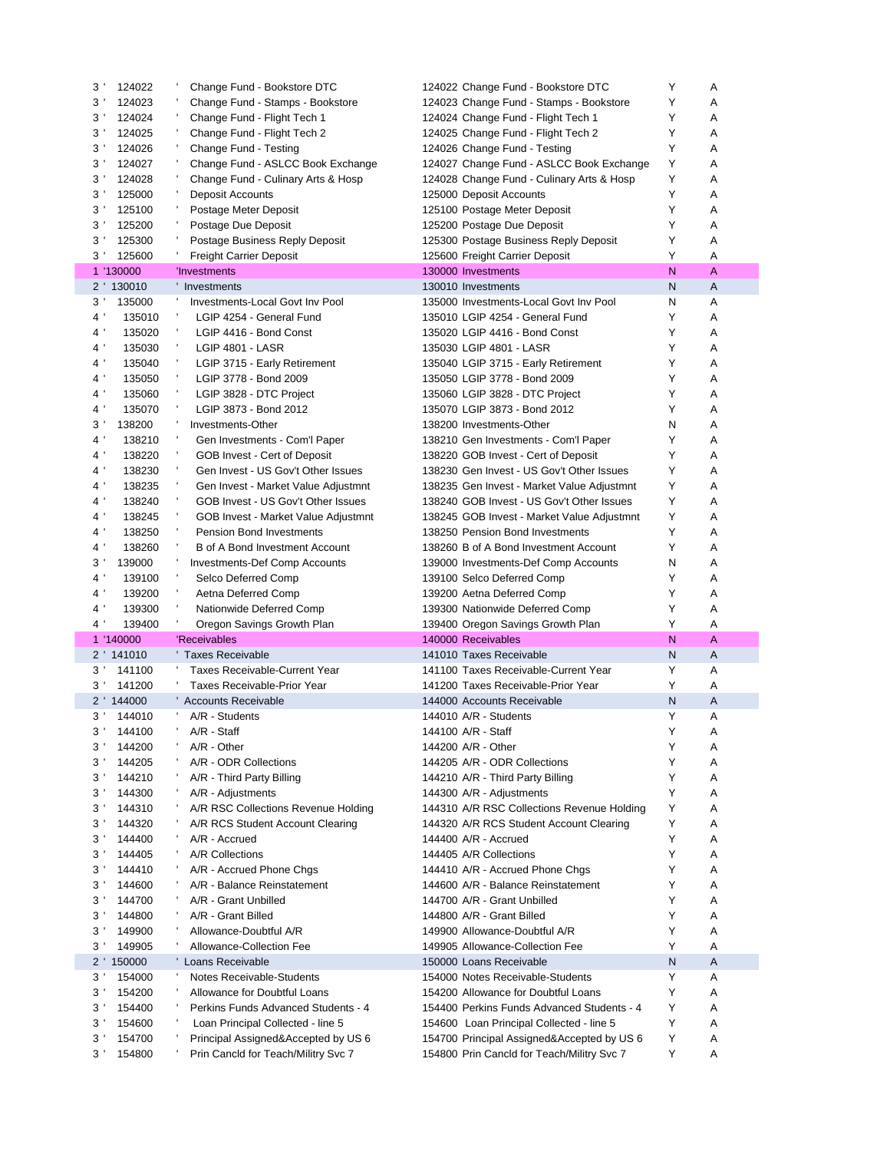| $3^{\prime}$   | 124022     | Change Fund - Bookstore DTC                                                | 124022 Change Fund - Bookstore DTC                                                       | Y | Α      |
|----------------|------------|----------------------------------------------------------------------------|------------------------------------------------------------------------------------------|---|--------|
| 3 <sup>1</sup> | 124023     | Change Fund - Stamps - Bookstore                                           | 124023 Change Fund - Stamps - Bookstore                                                  | Y | Α      |
| 3              | 124024     | Change Fund - Flight Tech 1                                                | 124024 Change Fund - Flight Tech 1                                                       | Y | A      |
| 3 <sup>1</sup> | 124025     | Change Fund - Flight Tech 2                                                | 124025 Change Fund - Flight Tech 2                                                       | Y | Α      |
| 3 <sup>1</sup> | 124026     | Change Fund - Testing                                                      | 124026 Change Fund - Testing                                                             | Y | A      |
| 3 <sup>1</sup> | 124027     | Change Fund - ASLCC Book Exchange                                          | 124027 Change Fund - ASLCC Book Exchange                                                 | Y | Α      |
| 3'             | 124028     | Change Fund - Culinary Arts & Hosp                                         | 124028 Change Fund - Culinary Arts & Hosp                                                | Y | A      |
| 3 <sup>1</sup> | 125000     | Deposit Accounts                                                           | 125000 Deposit Accounts                                                                  | Y | Α      |
| $3^{\prime}$   | 125100     | Postage Meter Deposit                                                      | 125100 Postage Meter Deposit                                                             | Y | A      |
| 3 <sup>1</sup> | 125200     | Postage Due Deposit                                                        | 125200 Postage Due Deposit                                                               | Y | Α      |
| 3'             | 125300     | Postage Business Reply Deposit                                             | 125300 Postage Business Reply Deposit                                                    | Y | Α      |
| 3 <sup>1</sup> |            |                                                                            |                                                                                          | Y | A      |
|                | 125600     | <b>Freight Carrier Deposit</b>                                             | 125600 Freight Carrier Deposit                                                           | N |        |
|                | 1 '130000  | 'Investments                                                               | 130000 Investments                                                                       |   | A      |
|                | 2 ' 130010 | ' Investments                                                              | 130010 Investments                                                                       | N | Α      |
| 3 <sup>1</sup> | 135000     | Investments-Local Govt Inv Pool                                            | 135000 Investments-Local Govt Inv Pool                                                   | N | Α      |
| $4^{\prime}$   | 135010     | LGIP 4254 - General Fund                                                   | 135010 LGIP 4254 - General Fund                                                          | Y | Α      |
| $4^{\prime}$   | 135020     | -<br>LGIP 4416 - Bond Const                                                | 135020 LGIP 4416 - Bond Const                                                            | Y | Α      |
| $4^{\prime}$   | 135030     | л,<br>LGIP 4801 - LASR                                                     | 135030 LGIP 4801 - LASR                                                                  | Y | Α      |
| 4 <sup>1</sup> | 135040     | ÷<br>LGIP 3715 - Early Retirement                                          | 135040 LGIP 3715 - Early Retirement                                                      | Y | Α      |
| 4 <sup>1</sup> | 135050     | LGIP 3778 - Bond 2009                                                      | 135050 LGIP 3778 - Bond 2009                                                             | Y | Α      |
| $4^{\prime}$   | 135060     | л,<br>LGIP 3828 - DTC Project                                              | 135060 LGIP 3828 - DTC Project                                                           | Y | Α      |
| $4^{\prime}$   | 135070     | л,<br>LGIP 3873 - Bond 2012                                                | 135070 LGIP 3873 - Bond 2012                                                             | Y | Α      |
| 3 <sup>1</sup> | 138200     | Investments-Other                                                          | 138200 Investments-Other                                                                 | N | Α      |
| 4 <sup>1</sup> | 138210     | Gen Investments - Com'l Paper                                              | 138210 Gen Investments - Com'l Paper                                                     | Y | Α      |
| $4^{\prime}$   | 138220     | GOB Invest - Cert of Deposit                                               | 138220 GOB Invest - Cert of Deposit                                                      | Y | A      |
| $4^{\prime}$   | 138230     | Gen Invest - US Gov't Other Issues                                         | 138230 Gen Invest - US Gov't Other Issues                                                | Y | A      |
| $4^{\prime}$   | 138235     | Gen Invest - Market Value Adjustmnt                                        | 138235 Gen Invest - Market Value Adjustmnt                                               | Y | Α      |
| 4              | 138240     | GOB Invest - US Gov't Other Issues                                         | 138240 GOB Invest - US Gov't Other Issues                                                | Y | Α      |
| $4^{\prime}$   |            |                                                                            |                                                                                          | Y | A      |
|                | 138245     | GOB Invest - Market Value Adjustmnt                                        | 138245 GOB Invest - Market Value Adjustmnt                                               |   |        |
| $4^{\prime}$   | 138250     | <b>Pension Bond Investments</b>                                            | 138250 Pension Bond Investments                                                          | Y | Α      |
| $4^{\prime}$   | 138260     | B of A Bond Investment Account                                             | 138260 B of A Bond Investment Account                                                    | Y | Α      |
| 3'             | 139000     | <b>Investments-Def Comp Accounts</b>                                       | 139000 Investments-Def Comp Accounts                                                     | N | Α      |
|                |            |                                                                            |                                                                                          |   |        |
| $4\,$ '        | 139100     | л,<br>Selco Deferred Comp                                                  | 139100 Selco Deferred Comp                                                               | Y | Α      |
| $4^{\prime}$   | 139200     | л.<br>Aetna Deferred Comp                                                  | 139200 Aetna Deferred Comp                                                               | Y | A      |
| 4 <sup>1</sup> | 139300     | Nationwide Deferred Comp                                                   | 139300 Nationwide Deferred Comp                                                          | Y | Α      |
| $4^{\prime}$   | 139400     | J.<br>Oregon Savings Growth Plan                                           | 139400 Oregon Savings Growth Plan                                                        | Y | A      |
|                | 1 '140000  | 'Receivables                                                               | 140000 Receivables                                                                       | N | A      |
|                | 2 ' 141010 | ' Taxes Receivable                                                         | 141010 Taxes Receivable                                                                  | N | A      |
| $3^{\prime}$   | 141100     | <b>Taxes Receivable-Current Year</b>                                       | 141100 Taxes Receivable-Current Year                                                     | Y | Α      |
| 3'             | 141200     | Taxes Receivable-Prior Year                                                | 141200 Taxes Receivable-Prior Year                                                       | Y | Α      |
|                | 2 ' 144000 | ' Accounts Receivable                                                      | 144000 Accounts Receivable                                                               | Ν | Α      |
| 3'             | 144010     | A/R - Students                                                             | 144010 A/R - Students                                                                    | Y | Α      |
|                |            | A/R - Staff                                                                | 144100 A/R - Staff                                                                       | Υ | Α      |
|                | 3 ' 144100 |                                                                            |                                                                                          |   |        |
| 3'             | 144200     | A/R - Other                                                                | 144200 A/R - Other                                                                       | Y | Α      |
| 3'             | 144205     | A/R - ODR Collections                                                      | 144205 A/R - ODR Collections                                                             | Y | Α      |
| 3'             | 144210     | A/R - Third Party Billing                                                  | 144210 A/R - Third Party Billing                                                         | Y | Α      |
| 3'             | 144300     | A/R - Adjustments                                                          | 144300 A/R - Adjustments                                                                 | Y | Α      |
| 3'             | 144310     | A/R RSC Collections Revenue Holding                                        | 144310 A/R RSC Collections Revenue Holding                                               | Υ | Α      |
| 3'             | 144320     | A/R RCS Student Account Clearing                                           | 144320 A/R RCS Student Account Clearing                                                  | Y | Α      |
| $3^{\prime}$   | 144400     | A/R - Accrued                                                              | 144400 A/R - Accrued                                                                     | Y | Α      |
| 3'             | 144405     | A/R Collections                                                            | 144405 A/R Collections                                                                   | Y | Α      |
| $3^{\prime}$   | 144410     | A/R - Accrued Phone Chgs                                                   | 144410 A/R - Accrued Phone Chgs                                                          | Y | Α      |
| 3'             | 144600     | A/R - Balance Reinstatement                                                | 144600 A/R - Balance Reinstatement                                                       | Y | Α      |
| 3 <sup>1</sup> | 144700     | A/R - Grant Unbilled                                                       | 144700 A/R - Grant Unbilled                                                              | Y | Α      |
| 3'             | 144800     | A/R - Grant Billed                                                         | 144800 A/R - Grant Billed                                                                | Y | Α      |
| $3^{\prime}$   | 149900     | Allowance-Doubtful A/R                                                     | 149900 Allowance-Doubtful A/R                                                            | Y | Α      |
| 3'             | 149905     | Allowance-Collection Fee                                                   | 149905 Allowance-Collection Fee                                                          | Y | Α      |
|                | 2 ' 150000 | ' Loans Receivable                                                         | 150000 Loans Receivable                                                                  | Ν | Α      |
| $3^{\prime}$   | 154000     | Notes Receivable-Students                                                  | 154000 Notes Receivable-Students                                                         | Y | Α      |
| 3'             | 154200     | Allowance for Doubtful Loans                                               | 154200 Allowance for Doubtful Loans                                                      | Y | Α      |
| 3'             | 154400     | Perkins Funds Advanced Students - 4                                        | 154400 Perkins Funds Advanced Students - 4                                               | Y | Α      |
| 3'             | 154600     | Loan Principal Collected - line 5                                          | 154600 Loan Principal Collected - line 5                                                 | Υ | Α      |
| 3'             | 154700     |                                                                            |                                                                                          | Υ |        |
| 3 <sup>1</sup> | 154800     | Principal Assigned&Accepted by US 6<br>Prin Cancld for Teach/Militry Svc 7 | 154700 Principal Assigned&Accepted by US 6<br>154800 Prin Cancld for Teach/Militry Svc 7 | Y | Α<br>Α |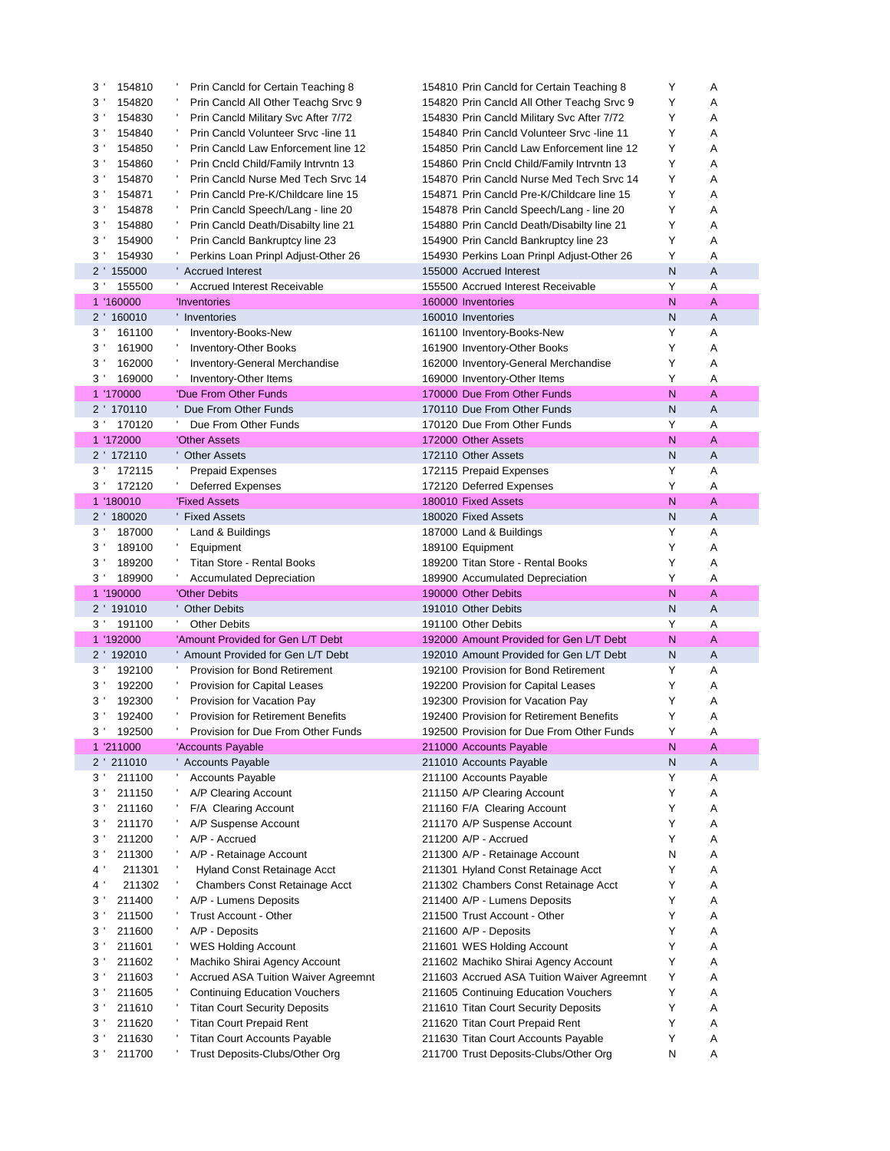| 3'<br>154810                                       | Prin Cancld for Certain Teaching 8                                    | 154810 Prin Cancld for Certain Teaching 8                                    | Υ      | Α              |
|----------------------------------------------------|-----------------------------------------------------------------------|------------------------------------------------------------------------------|--------|----------------|
| 3<br>154820                                        | Prin Cancld All Other Teachg Srvc 9                                   | 154820 Prin Cancld All Other Teachg Srvc 9                                   | Y      | Α              |
| 3<br>154830                                        | Prin Cancld Military Svc After 7/72                                   | 154830 Prin Cancld Military Svc After 7/72                                   | Y      | Α              |
| 154840<br>$3^{\prime}$                             | <b>Prin Cancid Volunteer Srvc-line 11</b>                             | 154840 Prin Cancld Volunteer Srvc -line 11                                   | Y      | A              |
| 3<br>154850                                        | Prin Cancld Law Enforcement line 12                                   | 154850 Prin Cancld Law Enforcement line 12                                   | Y      | A              |
| 3<br>154860                                        | Prin Cncld Child/Family Intryntn 13                                   | 154860 Prin Cncld Child/Family Intryntn 13                                   | Y      | Α              |
| 3<br>154870                                        | Prin Cancld Nurse Med Tech Srvc 14                                    | 154870 Prin Cancld Nurse Med Tech Srvc 14                                    | Υ      | A              |
| 3'<br>154871                                       | Prin Cancld Pre-K/Childcare line 15                                   | 154871 Prin Cancld Pre-K/Childcare line 15                                   | Υ      | Α              |
| 3'<br>154878                                       | Prin Cancld Speech/Lang - line 20                                     | 154878 Prin Cancld Speech/Lang - line 20                                     | Y      | Α              |
| 3'<br>154880                                       | Prin Cancld Death/Disabilty line 21                                   | 154880 Prin Cancld Death/Disabilty line 21                                   | Y      | Α              |
| 3'<br>154900                                       | Prin Cancld Bankruptcy line 23                                        | 154900 Prin Cancld Bankruptcy line 23                                        | Υ      | Α              |
| 3 <sup>1</sup>                                     | л,                                                                    |                                                                              | Υ      | A              |
| 154930                                             | Perkins Loan Prinpl Adjust-Other 26                                   | 154930 Perkins Loan Prinpl Adjust-Other 26                                   |        |                |
| 2 ' 155000                                         | ' Accrued Interest                                                    | 155000 Accrued Interest                                                      | N      | $\overline{A}$ |
| $3^{\prime}$<br>155500                             | <b>Accrued Interest Receivable</b>                                    | 155500 Accrued Interest Receivable                                           | Y      | Α              |
| 1 '160000                                          | 'Inventories                                                          | 160000 Inventories                                                           | N      | A              |
| 2 ' 160010                                         | ' Inventories                                                         | 160010 Inventories                                                           | N      | A              |
| 3'<br>161100                                       | Inventory-Books-New                                                   | 161100 Inventory-Books-New                                                   | Υ      | Α              |
| 3'<br>161900                                       | <b>Inventory-Other Books</b>                                          | 161900 Inventory-Other Books                                                 | Y      | Α              |
| 3<br>162000                                        | Inventory-General Merchandise                                         | 162000 Inventory-General Merchandise                                         | Υ      | Α              |
| 169000<br>3'                                       | Inventory-Other Items                                                 | 169000 Inventory-Other Items                                                 | Υ      | Α              |
| 1 '170000                                          | 'Due From Other Funds                                                 | 170000 Due From Other Funds                                                  | N      | $\overline{A}$ |
| 2 ' 170110                                         | Due From Other Funds                                                  | 170110 Due From Other Funds                                                  | N      | A              |
| 3 <sup>1</sup><br>170120                           | Due From Other Funds                                                  | 170120 Due From Other Funds                                                  | Y      | Α              |
| 1 '172000                                          | 'Other Assets                                                         | 172000 Other Assets                                                          | N      | A              |
| 2 ' 172110                                         | ' Other Assets                                                        | 172110 Other Assets                                                          | N      | A              |
| $3^{\prime}$<br>172115                             | <b>Prepaid Expenses</b>                                               | 172115 Prepaid Expenses                                                      | Y      | A              |
| 3<br>172120                                        | <b>Deferred Expenses</b>                                              | 172120 Deferred Expenses                                                     | Y      | Α              |
| 1 '180010                                          | 'Fixed Assets                                                         | 180010 Fixed Assets                                                          | N      | A              |
|                                                    |                                                                       |                                                                              |        |                |
| 2 ' 180020                                         | ' Fixed Assets                                                        | 180020 Fixed Assets                                                          | N      | A              |
| $3^{\prime}$<br>187000                             | Land & Buildings                                                      | 187000 Land & Buildings                                                      | Y      | A              |
| 3<br>189100                                        | Equipment                                                             | 189100 Equipment                                                             | Y      | Α              |
|                                                    |                                                                       |                                                                              |        |                |
| 3<br>189200                                        | <b>Titan Store - Rental Books</b>                                     | 189200 Titan Store - Rental Books                                            | Υ      | Α              |
| 3'<br>189900                                       | t,<br><b>Accumulated Depreciation</b>                                 | 189900 Accumulated Depreciation                                              | Y      | Α              |
| 1 '190000                                          | 'Other Debits                                                         | 190000 Other Debits                                                          | N      | $\overline{A}$ |
| $2^{\prime}$<br>191010                             | ' Other Debits                                                        | 191010 Other Debits                                                          | N      | A              |
| 3'<br>191100                                       | л.<br><b>Other Debits</b>                                             | 191100 Other Debits                                                          | Y      | Α              |
| 1 '192000                                          | 'Amount Provided for Gen L/T Debt                                     | 192000 Amount Provided for Gen L/T Debt                                      | N      | A              |
| 2 ' 192010                                         | Amount Provided for Gen L/T Debt                                      | 192010 Amount Provided for Gen L/T Debt                                      | N      | $\overline{A}$ |
| $3^{\prime}$<br>192100                             | <b>Provision for Bond Retirement</b>                                  | 192100 Provision for Bond Retirement                                         | Υ      | Α              |
| 3<br>192200                                        | Provision for Capital Leases                                          | 192200 Provision for Capital Leases                                          | Υ      | Α              |
| $3^{\prime}$<br>192300                             | Provision for Vacation Pay                                            | 192300 Provision for Vacation Pay                                            | Υ      | Α              |
| 3 <sup>1</sup><br>192400                           | <b>Provision for Retirement Benefits</b>                              | 192400 Provision for Retirement Benefits                                     | Υ      | Α              |
|                                                    |                                                                       |                                                                              | Υ      |                |
| 3 <sup>1</sup><br>192500                           | Provision for Due From Other Funds                                    | 192500 Provision for Due From Other Funds                                    |        | Α              |
| 1 '211000                                          | 'Accounts Payable                                                     | 211000 Accounts Payable                                                      | N      | A              |
| 2 211010                                           | Accounts Payable                                                      | 211010 Accounts Payable                                                      | N      | Α              |
| 3'<br>211100                                       | <b>Accounts Payable</b>                                               | 211100 Accounts Payable                                                      | Y      | Α              |
| 3'<br>211150                                       | A/P Clearing Account                                                  | 211150 A/P Clearing Account                                                  | Υ      | Α              |
| 3<br>211160                                        | F/A Clearing Account                                                  | 211160 F/A Clearing Account                                                  | Υ      | Α              |
| 3'<br>211170                                       | A/P Suspense Account                                                  | 211170 A/P Suspense Account                                                  | Υ      | Α              |
| 211200<br>3 <sup>1</sup>                           | A/P - Accrued                                                         | 211200 A/P - Accrued                                                         | Υ      | Α              |
| 3'<br>211300                                       | A/P - Retainage Account                                               | 211300 A/P - Retainage Account                                               | N      | Α              |
| 4 '<br>211301                                      | <b>Hyland Const Retainage Acct</b>                                    | 211301 Hyland Const Retainage Acct                                           | Υ      | Α              |
| 4 <sup>1</sup><br>211302                           | <b>Chambers Const Retainage Acct</b>                                  | 211302 Chambers Const Retainage Acct                                         | Υ      | Α              |
| 3'<br>211400                                       | A/P - Lumens Deposits                                                 | 211400 A/P - Lumens Deposits                                                 | Υ      | Α              |
| 3'<br>211500                                       | Trust Account - Other                                                 | 211500 Trust Account - Other                                                 | Y      | Α              |
| 3<br>211600                                        | A/P - Deposits                                                        | 211600 A/P - Deposits                                                        | Υ      | Α              |
| 3'<br>211601                                       | <b>WES Holding Account</b>                                            | 211601 WES Holding Account                                                   | Υ      | Α              |
| 211602<br>3 <sup>1</sup>                           | Machiko Shirai Agency Account                                         | 211602 Machiko Shirai Agency Account                                         | Υ      | Α              |
| 3'<br>211603                                       | <b>Accrued ASA Tuition Waiver Agreemnt</b>                            | 211603 Accrued ASA Tuition Waiver Agreemnt                                   | Υ      | Α              |
| 3 <sup>1</sup><br>211605                           |                                                                       |                                                                              | Υ      | Α              |
|                                                    | <b>Continuing Education Vouchers</b>                                  | 211605 Continuing Education Vouchers                                         |        |                |
| 3<br>211610                                        | <b>Titan Court Security Deposits</b>                                  | 211610 Titan Court Security Deposits                                         | Υ      | Α              |
| 3 <sup>1</sup><br>211620                           | <b>Titan Court Prepaid Rent</b>                                       | 211620 Titan Court Prepaid Rent                                              | Y      | Α              |
| 3 <sup>1</sup><br>211630<br>$3^{\prime}$<br>211700 | <b>Titan Court Accounts Payable</b><br>Trust Deposits-Clubs/Other Org | 211630 Titan Court Accounts Payable<br>211700 Trust Deposits-Clubs/Other Org | Υ<br>N | Α<br>Α         |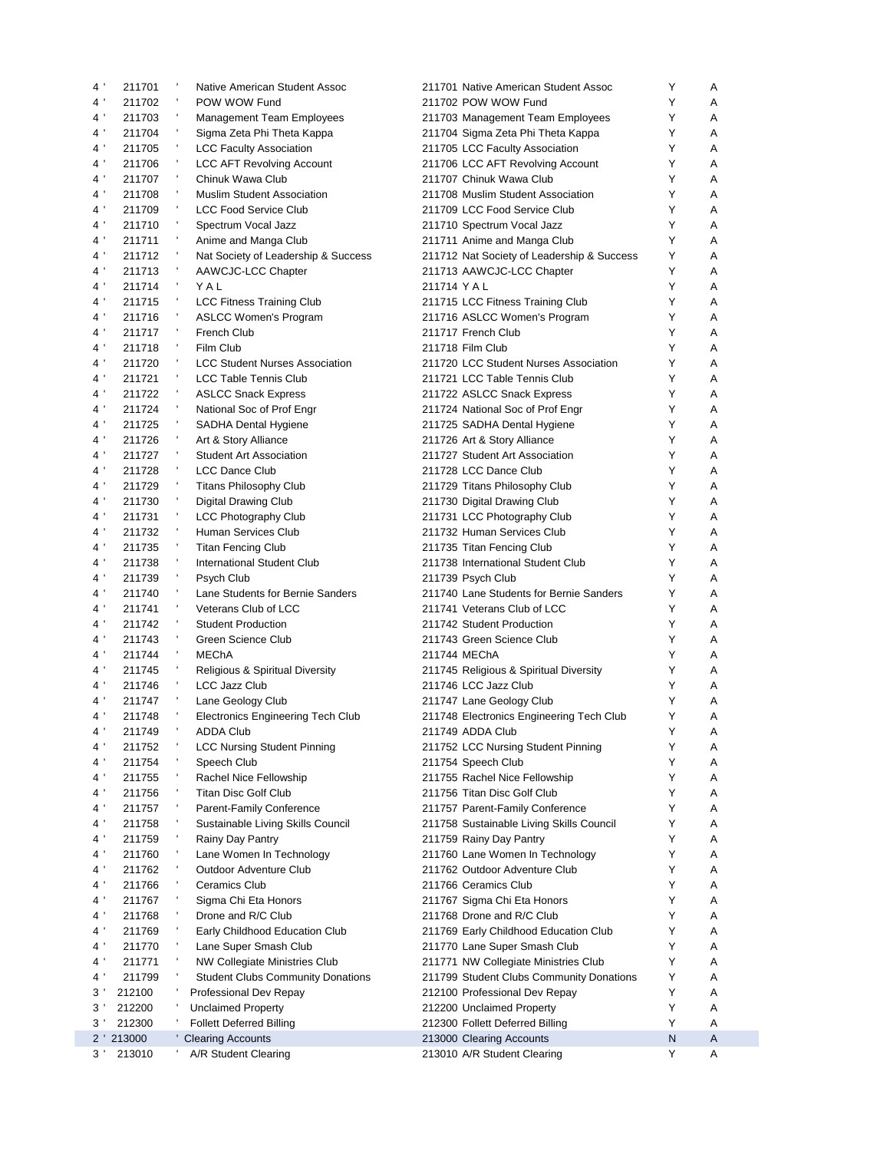| 4 <sup>1</sup>  | 211701     |         | Native American Student Assoc                | 211701 Native American Student Assoc       | Y | Α |
|-----------------|------------|---------|----------------------------------------------|--------------------------------------------|---|---|
| $4^{\prime}$    | 211702     |         | POW WOW Fund                                 | 211702 POW WOW Fund                        | Y | Α |
| $4$ '           | 211703     |         | Management Team Employees                    | 211703 Management Team Employees           | Y | Α |
| 4 <sup>1</sup>  | 211704     | л.      | Sigma Zeta Phi Theta Kappa                   | 211704 Sigma Zeta Phi Theta Kappa          | Υ | A |
| 4 <sup>1</sup>  | 211705     |         | <b>LCC Faculty Association</b>               | 211705 LCC Faculty Association             | Y | Α |
| 4 '             | 211706     | ÷       | <b>LCC AFT Revolving Account</b>             | 211706 LCC AFT Revolving Account           | Υ | Α |
| 4 <sup>1</sup>  | 211707     | л,      | Chinuk Wawa Club                             | 211707 Chinuk Wawa Club                    | Y | Α |
| $4^{\prime}$    | 211708     |         | <b>Muslim Student Association</b>            | 211708 Muslim Student Association          | Y | Α |
| 4 <sup>1</sup>  | 211709     |         | <b>LCC Food Service Club</b>                 | 211709 LCC Food Service Club               | Y | A |
| 4 <sup>1</sup>  | 211710     | л,      | Spectrum Vocal Jazz                          | 211710 Spectrum Vocal Jazz                 | Y | Α |
| 4 <sup>1</sup>  | 211711     |         | Anime and Manga Club                         | 211711 Anime and Manga Club                | Y | A |
| $4^{\prime}$    | 211712     |         | Nat Society of Leadership & Success          | 211712 Nat Society of Leadership & Success | Y | Α |
| 4 <sup>1</sup>  | 211713     | л,      | AAWCJC-LCC Chapter                           | 211713 AAWCJC-LCC Chapter                  | Y | A |
| $4^{\prime}$    | 211714     | л,      | YAL                                          | 211714 YAL                                 | Y | A |
| $4^{\prime}$    | 211715     | ÷       | <b>LCC Fitness Training Club</b>             | 211715 LCC Fitness Training Club           | Y | Α |
| $4^{\prime}$    | 211716     |         | <b>ASLCC Women's Program</b>                 | 211716 ASLCC Women's Program               | Y | A |
| $4^{\prime}$    | 211717     |         | <b>French Club</b>                           | 211717 French Club                         | Y | A |
| 4 <sup>1</sup>  | 211718     |         | Film Club                                    | 211718 Film Club                           | Y | Α |
| $4^{\prime}$    | 211720     | ÷       | <b>LCC Student Nurses Association</b>        | 211720 LCC Student Nurses Association      | Y | A |
| $4$ $^{\prime}$ | 211721     |         | LCC Table Tennis Club                        | 211721 LCC Table Tennis Club               | Y | Α |
| 4 <sup>1</sup>  | 211722     | л.      | <b>ASLCC Snack Express</b>                   | 211722 ASLCC Snack Express                 | Y | A |
| 4 <sup>1</sup>  | 211724     | ٠       | National Soc of Prof Engr                    | 211724 National Soc of Prof Engr           | Y | Α |
| 4 <sup>1</sup>  | 211725     | л,      |                                              |                                            | Y | Α |
| 4 <sup>1</sup>  |            | л,      | SADHA Dental Hygiene<br>Art & Story Alliance | 211725 SADHA Dental Hygiene                | Y | Α |
| 4 <sup>1</sup>  | 211726     |         |                                              | 211726 Art & Story Alliance                | Y |   |
|                 | 211727     |         | <b>Student Art Association</b>               | 211727 Student Art Association             |   | Α |
| 4 <sup>1</sup>  | 211728     |         | <b>LCC Dance Club</b>                        | 211728 LCC Dance Club                      | Y | А |
| 4 <sup>1</sup>  | 211729     |         | <b>Titans Philosophy Club</b>                | 211729 Titans Philosophy Club              | Υ | Α |
| $4\,$ '         | 211730     | ÷<br>л, | <b>Digital Drawing Club</b>                  | 211730 Digital Drawing Club                | Y | Α |
| $4^{\prime}$    | 211731     |         | <b>LCC Photography Club</b>                  | 211731 LCC Photography Club                | Υ | Α |
| $4^{\prime}$    | 211732     |         | Human Services Club                          | 211732 Human Services Club                 | Y | А |
| 4 '             | 211735     | ÷       | <b>Titan Fencing Club</b>                    | 211735 Titan Fencing Club                  | Y | A |
| 4 <sup>1</sup>  | 211738     |         | International Student Club                   | 211738 International Student Club          | Y | Α |
| $4^{\prime}$    | 211739     | ٠       | Psych Club                                   | 211739 Psych Club                          | Y | Α |
| 4 <sup>1</sup>  | 211740     |         | Lane Students for Bernie Sanders             | 211740 Lane Students for Bernie Sanders    | Y | A |
| 4 <sup>1</sup>  | 211741     |         | Veterans Club of LCC                         | 211741 Veterans Club of LCC                | Y | Α |
| 4 <sup>1</sup>  | 211742     |         | <b>Student Production</b>                    | 211742 Student Production                  | Y | A |
| $4^{\prime}$    | 211743     | л,      | Green Science Club                           | 211743 Green Science Club                  | Y | Α |
| $4^{\prime}$    | 211744     | л.      | <b>MEChA</b>                                 | 211744 MEChA                               | Y | A |
| $4^{\prime}$    | 211745     | л,      | Religious & Spiritual Diversity              | 211745 Religious & Spiritual Diversity     | Y | Α |
| $4^{\prime}$    | 211746     | л,      | <b>LCC Jazz Club</b>                         | 211746 LCC Jazz Club                       | Y | Α |
| $4^{\prime}$    | 211747     |         | Lane Geology Club                            | 211747 Lane Geology Club                   | Y | Α |
| 4 <sup>1</sup>  | 211748     | л,      | <b>Electronics Engineering Tech Club</b>     | 211748 Electronics Engineering Tech Club   | Y | A |
| $4^{\prime}$    | 211749     |         | ADDA Club                                    | 211749 ADDA Club                           | Y | Α |
| 4 <sup>1</sup>  | 211752     |         | <b>LCC Nursing Student Pinning</b>           | 211752 LCC Nursing Student Pinning         | Υ | A |
| 4 <sup>1</sup>  | 211754     |         | Speech Club                                  | 211754 Speech Club                         | Y | Α |
| 4 <sup>1</sup>  | 211755     |         | Rachel Nice Fellowship                       | 211755 Rachel Nice Fellowship              | Υ | Α |
| 4 <sup>1</sup>  | 211756     |         | <b>Titan Disc Golf Club</b>                  | 211756 Titan Disc Golf Club                | Y | Α |
| 4 <sup>1</sup>  | 211757     |         | <b>Parent-Family Conference</b>              | 211757 Parent-Family Conference            | Υ | Α |
| 4 <sup>1</sup>  | 211758     |         | Sustainable Living Skills Council            | 211758 Sustainable Living Skills Council   | Y | Α |
| 4 <sup>1</sup>  | 211759     |         | Rainy Day Pantry                             | 211759 Rainy Day Pantry                    | Υ | Α |
| 4 '             | 211760     |         | Lane Women In Technology                     | 211760 Lane Women In Technology            | Y | Α |
| 4 '             | 211762     |         | <b>Outdoor Adventure Club</b>                | 211762 Outdoor Adventure Club              | Υ | Α |
| 4 <sup>1</sup>  | 211766     |         | <b>Ceramics Club</b>                         | 211766 Ceramics Club                       | Υ | Α |
| 4 '             | 211767     |         | Sigma Chi Eta Honors                         | 211767 Sigma Chi Eta Honors                | Υ | Α |
| 4 <sup>1</sup>  | 211768     |         | Drone and R/C Club                           | 211768 Drone and R/C Club                  | Υ | Α |
| 4 '             | 211769     |         | Early Childhood Education Club               | 211769 Early Childhood Education Club      | Y | Α |
| 4 <sup>1</sup>  | 211770     |         | Lane Super Smash Club                        | 211770 Lane Super Smash Club               | Υ | Α |
| 4 <sup>1</sup>  | 211771     |         | <b>NW Collegiate Ministries Club</b>         | 211771 NW Collegiate Ministries Club       | Υ | Α |
| 4 <sup>1</sup>  | 211799     |         | <b>Student Clubs Community Donations</b>     | 211799 Student Clubs Community Donations   | Υ | Α |
| 3'              | 212100     |         | Professional Dev Repay                       | 212100 Professional Dev Repay              | Υ | Α |
| 3'              | 212200     |         | <b>Unclaimed Property</b>                    | 212200 Unclaimed Property                  | Y | Α |
| $3^{\prime}$    | 212300     |         | <b>Follett Deferred Billing</b>              | 212300 Follett Deferred Billing            | Y | Α |
|                 | 2 ' 213000 |         | <b>Clearing Accounts</b>                     | 213000 Clearing Accounts                   | N | A |
| $3^{\prime}$    | 213010     |         | A/R Student Clearing                         | 213010 A/R Student Clearing                | Y | Α |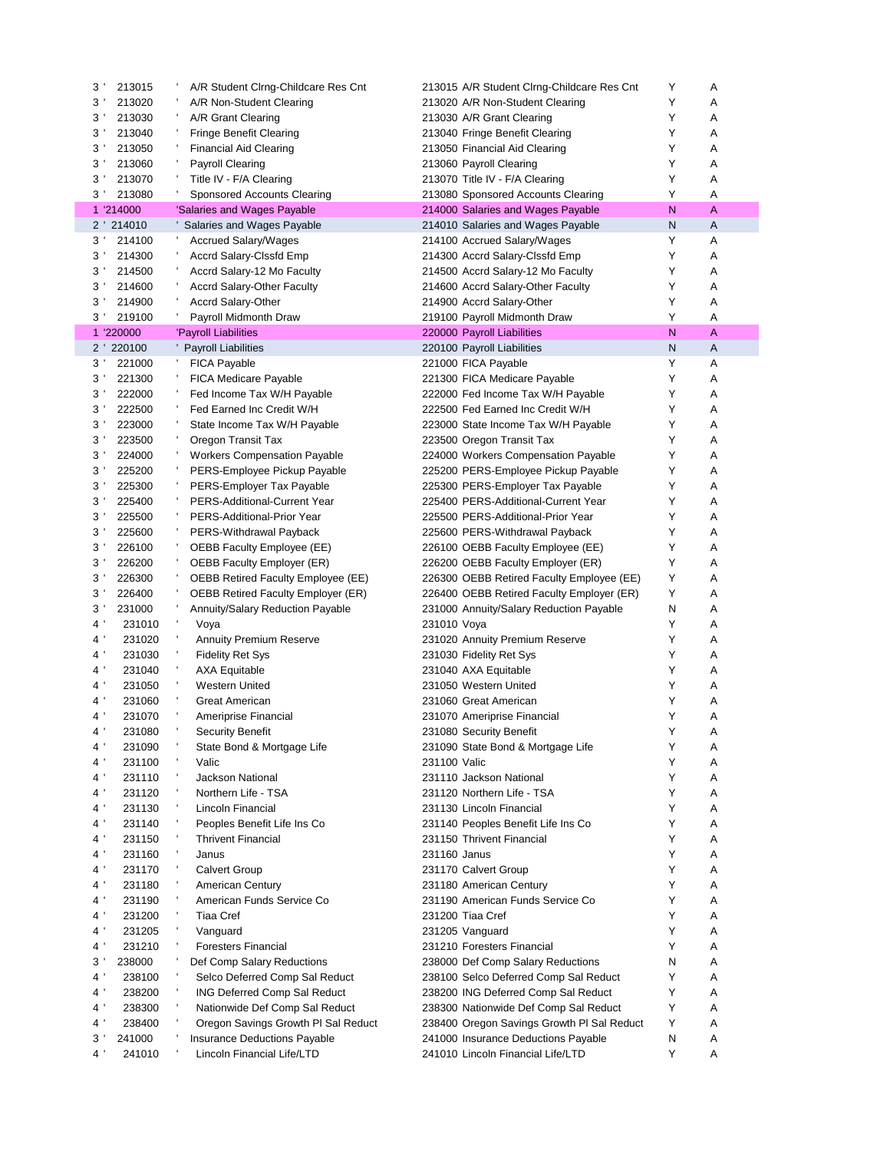| 3'             | 213015    |    | A/R Student Clrng-Childcare Res Cnt       |              | 213015 A/R Student Clrng-Childcare Res Cnt                     | Y      | Α |
|----------------|-----------|----|-------------------------------------------|--------------|----------------------------------------------------------------|--------|---|
| 3 <sup>1</sup> | 213020    |    | A/R Non-Student Clearing                  |              | 213020 A/R Non-Student Clearing                                | Υ      | Α |
| $3^{\prime}$   | 213030    |    | A/R Grant Clearing                        |              | 213030 A/R Grant Clearing                                      | Υ      | Α |
| 3 <sup>1</sup> | 213040    |    | <b>Fringe Benefit Clearing</b>            |              | 213040 Fringe Benefit Clearing                                 | Υ      | Α |
| 3 <sup>1</sup> | 213050    |    | <b>Financial Aid Clearing</b>             |              | 213050 Financial Aid Clearing                                  | Υ      | Α |
| 3 <sup>1</sup> | 213060    |    | <b>Payroll Clearing</b>                   |              | 213060 Payroll Clearing                                        | Υ      | Α |
| 3'             | 213070    |    | Title IV - F/A Clearing                   |              | 213070 Title IV - F/A Clearing                                 | Υ      | Α |
| $3^{\prime}$   | 213080    |    | Sponsored Accounts Clearing               |              | 213080 Sponsored Accounts Clearing                             | Υ      | A |
|                | 1 '214000 |    | 'Salaries and Wages Payable               |              | 214000 Salaries and Wages Payable                              | N      | A |
|                | 2 214010  |    | Salaries and Wages Payable                |              | 214010 Salaries and Wages Payable                              | N      | Α |
| 3 <sup>1</sup> | 214100    |    | <b>Accrued Salary/Wages</b>               |              | 214100 Accrued Salary/Wages                                    | Υ      | Α |
| $3^{\prime}$   | 214300    |    | Accrd Salary-Clssfd Emp                   |              | 214300 Accrd Salary-Clssfd Emp                                 | Υ      | Α |
| $3^{\prime}$   | 214500    |    | Accrd Salary-12 Mo Faculty                |              | 214500 Accrd Salary-12 Mo Faculty                              | Υ      | Α |
|                |           |    |                                           |              |                                                                | Υ      | Α |
| $3^{\prime}$   | 214600    |    | <b>Accrd Salary-Other Faculty</b>         |              | 214600 Accrd Salary-Other Faculty<br>214900 Accrd Salary-Other |        |   |
| 3'             | 214900    |    | <b>Accrd Salary-Other</b>                 |              |                                                                | Υ      | Α |
| $3^{\prime}$   | 219100    |    | Payroll Midmonth Draw                     |              | 219100 Payroll Midmonth Draw                                   | Υ      | A |
|                | 1 '220000 |    | 'Payroll Liabilities                      |              | 220000 Payroll Liabilities                                     | N      | A |
|                | 2 220100  |    | <b>Payroll Liabilities</b>                |              | 220100 Payroll Liabilities                                     | N      | Α |
| 3 <sup>1</sup> | 221000    | л, | <b>FICA Payable</b>                       |              | 221000 FICA Payable                                            | Υ      | Α |
| 3 <sup>1</sup> | 221300    |    | <b>FICA Medicare Payable</b>              |              | 221300 FICA Medicare Payable                                   | Y      | Α |
| $3^{\prime}$   | 222000    |    | Fed Income Tax W/H Payable                |              | 222000 Fed Income Tax W/H Payable                              | Υ      | А |
| $3^{\prime}$   | 222500    |    | Fed Earned Inc Credit W/H                 |              | 222500 Fed Earned Inc Credit W/H                               | Υ      | Α |
| 3'             | 223000    |    | State Income Tax W/H Payable              |              | 223000 State Income Tax W/H Payable                            | Y      | Α |
| 3 <sup>1</sup> | 223500    |    | Oregon Transit Tax                        |              | 223500 Oregon Transit Tax                                      | Υ      | Α |
| $3^{\prime}$   | 224000    |    | <b>Workers Compensation Payable</b>       |              | 224000 Workers Compensation Payable                            | Υ      | Α |
| 3 <sup>1</sup> | 225200    |    | PERS-Employee Pickup Payable              |              | 225200 PERS-Employee Pickup Payable                            | Υ      | Α |
| 3 <sup>1</sup> | 225300    |    | PERS-Employer Tax Payable                 |              | 225300 PERS-Employer Tax Payable                               | Y      | Α |
| 3 <sup>1</sup> | 225400    |    | PERS-Additional-Current Year              |              | 225400 PERS-Additional-Current Year                            | Y      | Α |
| 3 <sup>1</sup> | 225500    |    | PERS-Additional-Prior Year                |              | 225500 PERS-Additional-Prior Year                              | Y      | Α |
| 3 <sup>1</sup> | 225600    |    | PERS-Withdrawal Payback                   |              | 225600 PERS-Withdrawal Payback                                 | Υ      | Α |
| $3^{\prime}$   | 226100    |    | OEBB Faculty Employee (EE)                |              | 226100 OEBB Faculty Employee (EE)                              | Y      | Α |
| 3'             | 226200    |    | OEBB Faculty Employer (ER)                |              | 226200 OEBB Faculty Employer (ER)                              | Y      | Α |
| $3^{\prime}$   | 226300    |    | <b>OEBB Retired Faculty Employee (EE)</b> |              | 226300 OEBB Retired Faculty Employee (EE)                      | Y      | Α |
| $3^{\prime}$   | 226400    |    | <b>OEBB Retired Faculty Employer (ER)</b> |              | 226400 OEBB Retired Faculty Employer (ER)                      | Y      | Α |
| $3^{\prime}$   | 231000    |    | <b>Annuity/Salary Reduction Payable</b>   |              | 231000 Annuity/Salary Reduction Payable                        | N      | Α |
| 4 <sup>1</sup> | 231010    | ٠  | Voya                                      | 231010 Voya  |                                                                | Υ      | Α |
| 4 <sup>1</sup> | 231020    |    | <b>Annuity Premium Reserve</b>            |              | 231020 Annuity Premium Reserve                                 | Υ      | A |
| 4 <sup>1</sup> | 231030    | ٠  | <b>Fidelity Ret Sys</b>                   |              | 231030 Fidelity Ret Sys                                        | Υ      | Α |
| $4^{\prime}$   | 231040    | л, | AXA Equitable                             |              | 231040 AXA Equitable                                           | Υ      | Α |
| 4 <sup>1</sup> | 231050    | ÷  | Western United                            |              | 231050 Western United                                          | Υ      | Α |
| $4^{\prime}$   | 231060    |    | Great American                            |              | 231060 Great American                                          | Υ      | Α |
| $4^{\prime}$   | 231070    | ٠  | Ameriprise Financial                      |              | 231070 Ameriprise Financial                                    | Υ      | A |
| $4^{\prime}$   | 231080    |    | <b>Security Benefit</b>                   |              | 231080 Security Benefit                                        | Y      | Α |
|                |           | ÷, |                                           |              |                                                                |        |   |
| $4^{\prime}$   | 231090    |    | State Bond & Mortgage Life                |              | 231090 State Bond & Mortgage Life                              | Υ<br>Y | A |
| 4 <sup>1</sup> | 231100    | л, | Valic                                     | 231100 Valic |                                                                |        | Α |
| 4 <sup>1</sup> | 231110    |    | Jackson National                          |              | 231110 Jackson National                                        | Y      | Α |
| 4 <sup>1</sup> | 231120    |    | Northern Life - TSA                       |              | 231120 Northern Life - TSA                                     | Υ      | Α |
| 4 <sup>1</sup> | 231130    |    | Lincoln Financial                         |              | 231130 Lincoln Financial                                       | Y      | Α |
| 4 <sup>1</sup> | 231140    |    | Peoples Benefit Life Ins Co               |              | 231140 Peoples Benefit Life Ins Co                             | Υ      | Α |
| 4'             | 231150    |    | <b>Thrivent Financial</b>                 |              | 231150 Thrivent Financial                                      | Y      | Α |
| $4^{\prime}$   | 231160    | ٠  | Janus                                     |              | 231160 Janus                                                   | Y      | Α |
| 4'             | 231170    | J. | <b>Calvert Group</b>                      |              | 231170 Calvert Group                                           | Y      | Α |
| 4 <sup>1</sup> | 231180    |    | American Century                          |              | 231180 American Century                                        | Y      | Α |
| 4'             | 231190    |    | American Funds Service Co                 |              | 231190 American Funds Service Co                               | Υ      | Α |
| 4'             | 231200    |    | <b>Tiaa Cref</b>                          |              | 231200 Tiaa Cref                                               | Y      | Α |
| 4 <sup>1</sup> | 231205    |    | Vanguard                                  |              | 231205 Vanguard                                                | Y      | Α |
| 4 <sup>1</sup> | 231210    |    | <b>Foresters Financial</b>                |              | 231210 Foresters Financial                                     | Y      | Α |
| $3^{\prime}$   | 238000    |    | Def Comp Salary Reductions                |              | 238000 Def Comp Salary Reductions                              | N      | Α |
| 4 <sup>1</sup> | 238100    |    | Selco Deferred Comp Sal Reduct            |              | 238100 Selco Deferred Comp Sal Reduct                          | Y      | Α |
| 4 <sup>1</sup> | 238200    | ÷  | <b>ING Deferred Comp Sal Reduct</b>       |              | 238200 ING Deferred Comp Sal Reduct                            | Y      | Α |
| 4 <sup>1</sup> | 238300    |    | Nationwide Def Comp Sal Reduct            |              | 238300 Nationwide Def Comp Sal Reduct                          | Y      | Α |
| $4^{\circ}$    | 238400    |    | Oregon Savings Growth PI Sal Reduct       |              | 238400 Oregon Savings Growth PI Sal Reduct                     | Y      | Α |
| $3^{\prime}$   | 241000    | ٠  | Insurance Deductions Payable              |              | 241000 Insurance Deductions Payable                            | N      | Α |
| 4'             | 241010    |    | Lincoln Financial Life/LTD                |              | 241010 Lincoln Financial Life/LTD                              | Y      | Α |
|                |           |    |                                           |              |                                                                |        |   |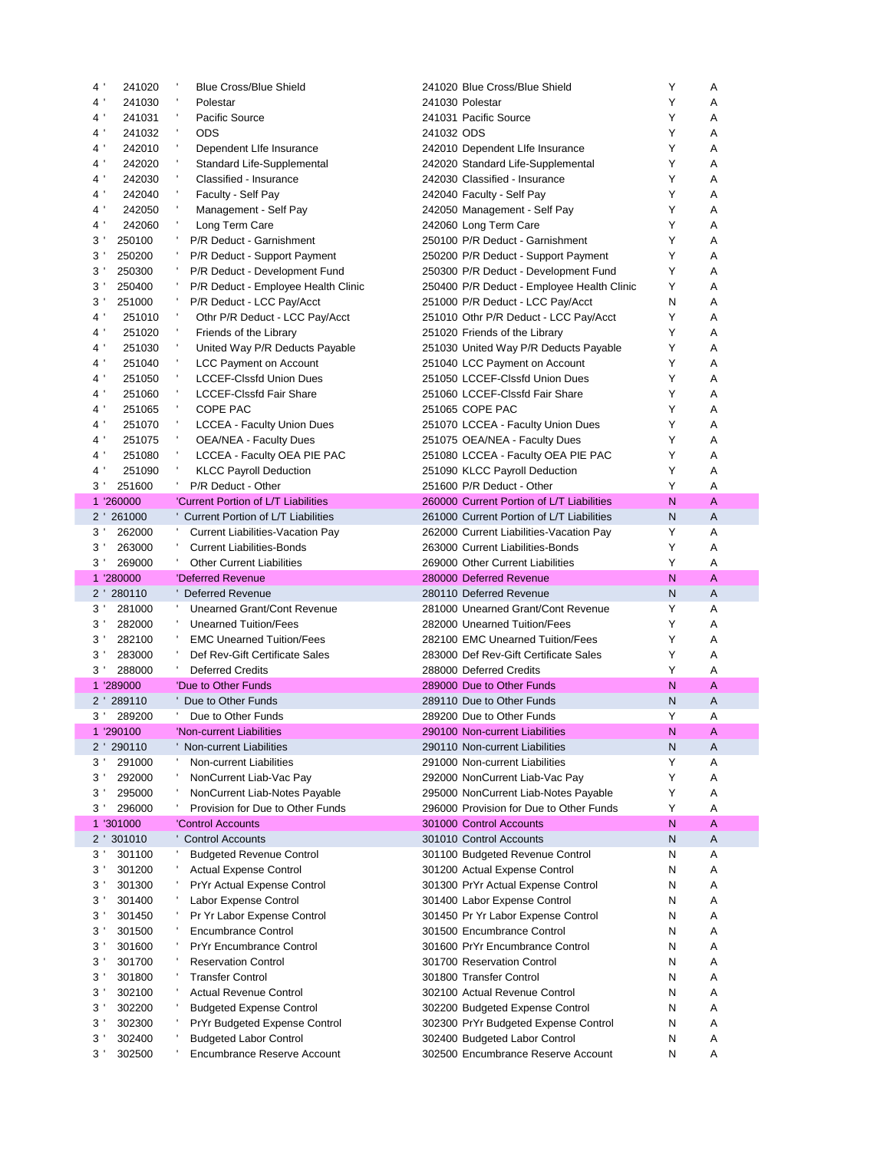| 4'<br>241020                                     | <b>Blue Cross/Blue Shield</b>                                | 241020 Blue Cross/Blue Shield                                       | Y      | Α      |
|--------------------------------------------------|--------------------------------------------------------------|---------------------------------------------------------------------|--------|--------|
| $4^{\prime}$<br>241030                           | Polestar                                                     | 241030 Polestar                                                     | Y      | Α      |
| $4^{\prime}$<br>241031                           | ٠<br>Pacific Source                                          | 241031 Pacific Source                                               | Y      | Α      |
| $4^{\prime}$<br>241032                           | л,<br>ODS                                                    | 241032 ODS                                                          | Y      | Α      |
| $4^{\prime}$<br>242010                           | ÷<br>Dependent Life Insurance                                | 242010 Dependent Life Insurance                                     | Y      | Α      |
| 4'<br>242020                                     | Standard Life-Supplemental                                   | 242020 Standard Life-Supplemental                                   | Y      | Α      |
| $4^{\prime}$<br>242030                           | Classified - Insurance                                       | 242030 Classified - Insurance                                       | Y      | Α      |
| $4^{\prime}$<br>242040                           | Faculty - Self Pay                                           | 242040 Faculty - Self Pay                                           | Y      | Α      |
| $4^{\prime}$<br>242050                           | Management - Self Pay                                        | 242050 Management - Self Pay                                        | Y      | Α      |
| 4 <sup>1</sup><br>242060                         | ÷<br>Long Term Care                                          | 242060 Long Term Care                                               | Y      | A      |
| 3'<br>250100                                     | P/R Deduct - Garnishment                                     | 250100 P/R Deduct - Garnishment                                     | Y      | A      |
| $3^{\prime}$<br>250200                           | P/R Deduct - Support Payment                                 | 250200 P/R Deduct - Support Payment                                 | Y      | Α      |
| $3^{\prime}$<br>250300                           | P/R Deduct - Development Fund                                | 250300 P/R Deduct - Development Fund                                | Υ      | A      |
| $3^{\prime}$<br>250400                           | P/R Deduct - Employee Health Clinic                          | 250400 P/R Deduct - Employee Health Clinic                          | Υ      | Α      |
| 3'<br>251000                                     | P/R Deduct - LCC Pay/Acct                                    | 251000 P/R Deduct - LCC Pay/Acct                                    | N      | Α      |
| 4 <sup>1</sup><br>251010                         | Othr P/R Deduct - LCC Pay/Acct                               | 251010 Othr P/R Deduct - LCC Pay/Acct                               | Y      | A      |
| 4 <sup>1</sup><br>251020                         | ٠<br>Friends of the Library                                  | 251020 Friends of the Library                                       | Y      | Α      |
| 4 <sup>1</sup><br>251030                         | ٠<br>United Way P/R Deducts Payable                          | 251030 United Way P/R Deducts Payable                               | Y      | Α      |
| 4 <sup>1</sup><br>251040                         | J.                                                           |                                                                     | Y      | A      |
|                                                  | <b>LCC Payment on Account</b>                                | 251040 LCC Payment on Account                                       |        |        |
| 4 <sup>1</sup><br>251050                         | <b>LCCEF-Clssfd Union Dues</b><br>٠                          | 251050 LCCEF-Clssfd Union Dues                                      | Y      | Α      |
| 4'<br>251060                                     | <b>LCCEF-Clssfd Fair Share</b><br>٠                          | 251060 LCCEF-Clssfd Fair Share                                      | Y      | Α      |
| $4^{\prime}$<br>251065                           | COPE PAC<br>÷                                                | 251065 COPE PAC                                                     | Y      | Α      |
| 4'<br>251070                                     | <b>LCCEA - Faculty Union Dues</b>                            | 251070 LCCEA - Faculty Union Dues                                   | Y      | Α      |
| $4^{\prime}$<br>251075                           | <b>OEA/NEA - Faculty Dues</b>                                | 251075 OEA/NEA - Faculty Dues                                       | Y      | Α      |
| 4'<br>251080                                     | LCCEA - Faculty OEA PIE PAC                                  | 251080 LCCEA - Faculty OEA PIE PAC                                  | Υ      | Α      |
| $4^{\prime}$<br>251090                           | <b>KLCC Payroll Deduction</b>                                | 251090 KLCC Payroll Deduction                                       | Y      | Α      |
| $3^{\prime}$<br>251600                           | P/R Deduct - Other                                           | 251600 P/R Deduct - Other                                           | Y      | A      |
| 1 '260000                                        | 'Current Portion of L/T Liabilities                          | 260000 Current Portion of L/T Liabilities                           | N      | A      |
| 2 ' 261000                                       | Current Portion of L/T Liabilities                           | 261000 Current Portion of L/T Liabilities                           | N      | Α      |
| $3^{\prime}$<br>262000                           | <b>Current Liabilities-Vacation Pay</b>                      | 262000 Current Liabilities-Vacation Pay                             | Y      | Α      |
| 3<br>263000                                      | <b>Current Liabilities-Bonds</b>                             | 263000 Current Liabilities-Bonds                                    | Y      | Α      |
| $3^{\prime}$<br>269000                           | <b>Other Current Liabilities</b>                             | 269000 Other Current Liabilities                                    | Y      | A      |
|                                                  |                                                              |                                                                     |        |        |
| 1 '280000                                        | 'Deferred Revenue                                            | 280000 Deferred Revenue                                             | N      | A      |
| 2 280110                                         | <b>Deferred Revenue</b>                                      | 280110 Deferred Revenue                                             | N      | A      |
| 3 <sup>1</sup><br>281000                         | Unearned Grant/Cont Revenue                                  | 281000 Unearned Grant/Cont Revenue                                  | Y      | Α      |
| $3^{\prime}$<br>282000                           | <b>Unearned Tuition/Fees</b>                                 | 282000 Unearned Tuition/Fees                                        | Y      | A      |
| $3^{\prime}$<br>282100                           | <b>EMC Unearned Tuition/Fees</b>                             | 282100 EMC Unearned Tuition/Fees                                    | Y      | Α      |
| $3^{\prime}$<br>283000                           | Def Rev-Gift Certificate Sales                               | 283000 Def Rev-Gift Certificate Sales                               | Y      | A      |
| $3^{\prime}$<br>288000                           | <b>Deferred Credits</b>                                      | 288000 Deferred Credits                                             | Υ      | Α      |
| 1 '289000                                        | 'Due to Other Funds                                          | 289000 Due to Other Funds                                           | N      | A      |
| 2 ' 289110                                       | Due to Other Funds                                           | 289110 Due to Other Funds                                           | N      | Α      |
| 3 <sup>1</sup><br>289200                         | л.<br>Due to Other Funds                                     | 289200 Due to Other Funds                                           | Y      | Α      |
| 1 '290100                                        | 'Non-current Liabilities                                     | 290100 Non-current Liabilities                                      | N      | А      |
|                                                  |                                                              |                                                                     |        |        |
| 2 ' 290110<br>291000<br>3'                       | Non-current Liabilities<br>Non-current Liabilities           | 290110 Non-current Liabilities<br>291000 Non-current Liabilities    | N<br>Υ | Α<br>Α |
| $3^{\prime}$<br>292000                           | NonCurrent Liab-Vac Pay                                      | 292000 NonCurrent Liab-Vac Pay                                      | Υ      | Α      |
| $3^{\prime}$<br>295000                           |                                                              |                                                                     | Υ      | Α      |
|                                                  | NonCurrent Liab-Notes Payable                                | 295000 NonCurrent Liab-Notes Payable                                |        |        |
| $3^{\prime}$<br>296000                           | Provision for Due to Other Funds                             | 296000 Provision for Due to Other Funds                             | Υ      | Α      |
| 1 '301000                                        | 'Control Accounts                                            | 301000 Control Accounts                                             | N      | Α      |
| 301010<br>$2^{\prime}$                           | <b>Control Accounts</b>                                      | 301010 Control Accounts                                             | N      | Α      |
| 301100<br>$3^{\prime}$                           | <b>Budgeted Revenue Control</b>                              | 301100 Budgeted Revenue Control                                     | N      | Α      |
| 3<br>301200                                      | <b>Actual Expense Control</b>                                | 301200 Actual Expense Control                                       | N      | Α      |
| 3'<br>301300                                     | PrYr Actual Expense Control                                  | 301300 PrYr Actual Expense Control                                  | N      | Α      |
| 3'<br>301400                                     | Labor Expense Control                                        | 301400 Labor Expense Control                                        | N      | Α      |
| 3'<br>301450                                     | Pr Yr Labor Expense Control                                  | 301450 Pr Yr Labor Expense Control                                  | N      | Α      |
| 3<br>301500                                      | <b>Encumbrance Control</b>                                   | 301500 Encumbrance Control                                          | N      | Α      |
| $3^{\prime}$<br>301600                           | <b>PrYr Encumbrance Control</b>                              | 301600 PrYr Encumbrance Control                                     | N      | Α      |
| 3 <sup>1</sup><br>301700                         | <b>Reservation Control</b>                                   | 301700 Reservation Control                                          | N      | Α      |
| 3<br>301800                                      | <b>Transfer Control</b>                                      | 301800 Transfer Control                                             | N      | Α      |
| $3^{\prime}$<br>302100                           | <b>Actual Revenue Control</b>                                | 302100 Actual Revenue Control                                       | N      | Α      |
| 3<br>302200                                      | <b>Budgeted Expense Control</b>                              | 302200 Budgeted Expense Control                                     | N      | Α      |
| 3 <sup>1</sup><br>302300                         | PrYr Budgeted Expense Control                                | 302300 PrYr Budgeted Expense Control                                | N      | Α      |
| $3^{\prime}$<br>302400<br>302500<br>$3^{\prime}$ | <b>Budgeted Labor Control</b><br>Encumbrance Reserve Account | 302400 Budgeted Labor Control<br>302500 Encumbrance Reserve Account | N<br>N | Α<br>Α |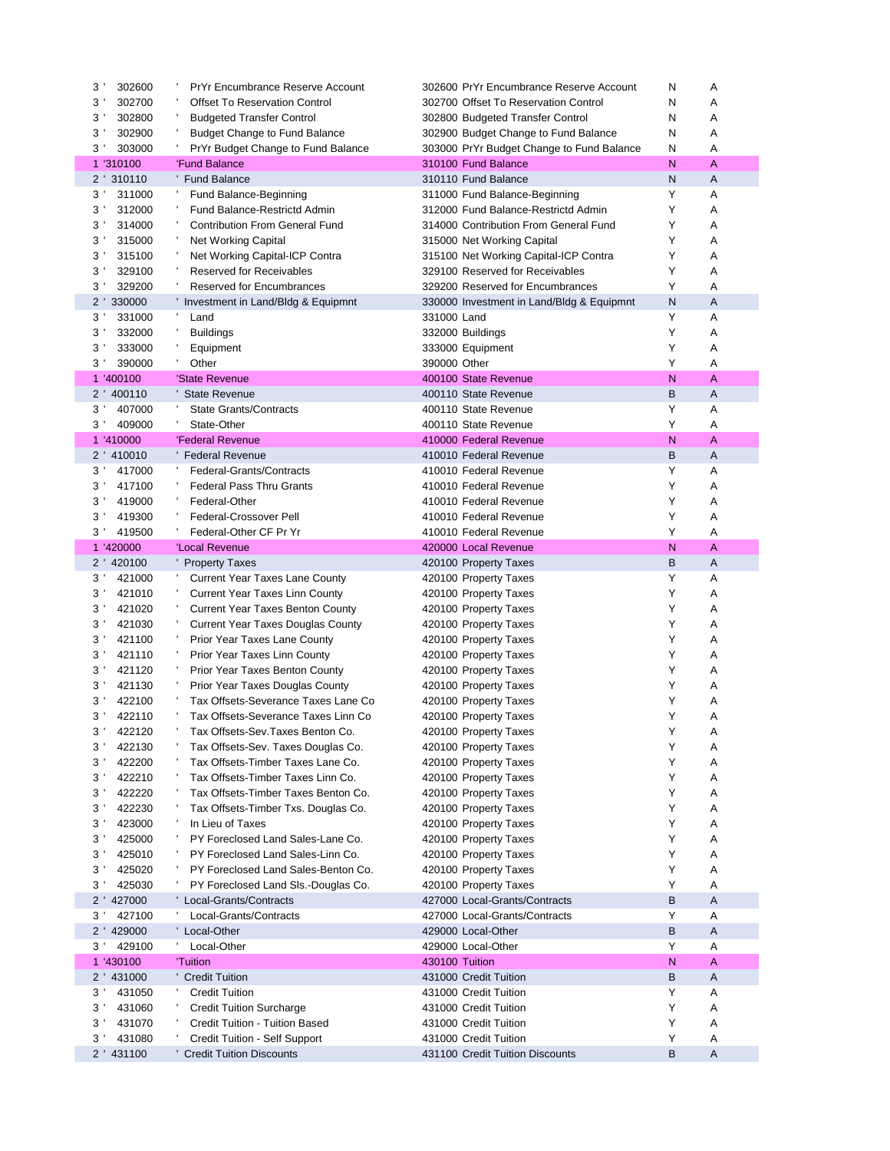| 3 <sup>1</sup><br>302600 | <b>PrYr Encumbrance Reserve Account</b>                                | 302600 PrYr Encumbrance Reserve Account        | N      | Α      |
|--------------------------|------------------------------------------------------------------------|------------------------------------------------|--------|--------|
| 3'<br>302700             | <b>Offset To Reservation Control</b>                                   | 302700 Offset To Reservation Control           | N      | Α      |
| 3'<br>302800             | <b>Budgeted Transfer Control</b>                                       | 302800 Budgeted Transfer Control               | N      | Α      |
| 3'<br>302900             | <b>Budget Change to Fund Balance</b>                                   | 302900 Budget Change to Fund Balance           | N      | Α      |
| $3^{\prime}$<br>303000   | PrYr Budget Change to Fund Balance                                     | 303000 PrYr Budget Change to Fund Balance      | N      | Α      |
| 1 '310100                | 'Fund Balance                                                          | 310100 Fund Balance                            | N      | A      |
| 2 ' 310110               | ' Fund Balance                                                         | 310110 Fund Balance                            | N      | A      |
| 3'<br>311000             | Fund Balance-Beginning                                                 | 311000 Fund Balance-Beginning                  | Υ      | Α      |
| 312000<br>3'             | Fund Balance-Restrictd Admin                                           | 312000 Fund Balance-Restrictd Admin            | Υ      | Α      |
| 3'<br>314000             | <b>Contribution From General Fund</b>                                  | 314000 Contribution From General Fund          | Y      | Α      |
| 3<br>315000              | <b>Net Working Capital</b>                                             | 315000 Net Working Capital                     | Υ      | Α      |
| 3'<br>315100             | Net Working Capital-ICP Contra                                         | 315100 Net Working Capital-ICP Contra          | Y      | Α      |
| 3'<br>329100             | <b>Reserved for Receivables</b>                                        | 329100 Reserved for Receivables                | Υ      | A      |
| 3 <sup>1</sup><br>329200 | <b>Reserved for Encumbrances</b>                                       | 329200 Reserved for Encumbrances               | Y      | Α      |
| $2^{\prime}$<br>330000   | ' Investment in Land/Bldg & Equipmnt                                   | 330000 Investment in Land/Bldg & Equipmnt      | N      | A      |
| 331000<br>3'             | л,<br>Land                                                             | 331000 Land                                    | Y      | Α      |
| 332000<br>3'             | <b>Buildings</b>                                                       | 332000 Buildings                               | Y      | A      |
| 3'<br>333000             | Equipment                                                              | 333000 Equipment                               | Y      | Α      |
| 390000<br>3'             | Other                                                                  | 390000 Other                                   | Y      | Α      |
| 1 '400100                | 'State Revenue                                                         | 400100 State Revenue                           | N      | A      |
| 400110<br>$2^{\prime}$   | <b>State Revenue</b>                                                   | 400110 State Revenue                           | В      | Α      |
| $3^{\prime}$<br>407000   | <b>State Grants/Contracts</b>                                          | 400110 State Revenue                           | Y      | Α      |
| 409000<br>$3^{\prime}$   | State-Other                                                            | 400110 State Revenue                           | Y      | Α      |
| 1 '410000                | 'Federal Revenue                                                       | 410000 Federal Revenue                         | N      | A      |
| 2 ' 410010               | 'Federal Revenue                                                       | 410010 Federal Revenue                         | В      | A      |
| $3^{\prime}$<br>417000   | Federal-Grants/Contracts                                               | 410010 Federal Revenue                         | Y      | Α      |
| 3'<br>417100             | <b>Federal Pass Thru Grants</b>                                        | 410010 Federal Revenue                         | Y      | Α      |
| 3'<br>419000             | Federal-Other                                                          | 410010 Federal Revenue                         | Y      | Α      |
| 3'<br>419300             | Federal-Crossover Pell                                                 | 410010 Federal Revenue                         | Υ      | Α      |
| $3^{\prime}$<br>419500   | Federal-Other CF Pr Yr                                                 | 410010 Federal Revenue                         | Y      | Α      |
| 1 '420000                | 'Local Revenue                                                         | 420000 Local Revenue                           | N      | A      |
| 2 ' 420100               | ' Property Taxes                                                       | 420100 Property Taxes                          | B      | A      |
| 3'<br>421000             | <b>Current Year Taxes Lane County</b>                                  | 420100 Property Taxes                          | Υ      | Α      |
| 3'<br>421010             | <b>Current Year Taxes Linn County</b>                                  | 420100 Property Taxes                          | Y      | Α      |
| 3'<br>421020             | <b>Current Year Taxes Benton County</b>                                | 420100 Property Taxes                          | Y      | Α      |
| 3<br>421030              | Current Year Taxes Douglas County                                      | 420100 Property Taxes                          | Υ<br>Y | Α      |
| 3'<br>421100             | Prior Year Taxes Lane County                                           | 420100 Property Taxes                          | Y      | Α      |
| 421110<br>3'             | Prior Year Taxes Linn County                                           | 420100 Property Taxes                          | Y      | A      |
| 3'<br>421120<br>3'       | Prior Year Taxes Benton County                                         | 420100 Property Taxes                          | Y      | Α<br>Α |
| 421130<br>422100<br>3    | Prior Year Taxes Douglas County<br>Tax Offsets-Severance Taxes Lane Co | 420100 Property Taxes                          | Y      | Α      |
| 3 <sup>1</sup><br>422110 | Tax Offsets-Severance Taxes Linn Co                                    | 420100 Property Taxes<br>420100 Property Taxes | Y      | Α      |
| 3 <sup>1</sup><br>422120 | Tax Offsets-Sev. Taxes Benton Co.                                      | 420100 Property Taxes                          | Y      | Α      |
| 3'<br>422130             | Tax Offsets-Sev. Taxes Douglas Co.                                     | 420100 Property Taxes                          | Υ      | Α      |
| 422200<br>3'             | Tax Offsets-Timber Taxes Lane Co.                                      | 420100 Property Taxes                          | Y      | Α      |
| 422210<br>3'             | Tax Offsets-Timber Taxes Linn Co.                                      | 420100 Property Taxes                          | Y      | Α      |
| 3 <sup>1</sup><br>422220 | Tax Offsets-Timber Taxes Benton Co.                                    | 420100 Property Taxes                          | Y      | Α      |
| 422230<br>3'             | Tax Offsets-Timber Txs. Douglas Co.                                    | 420100 Property Taxes                          | Y      | Α      |
| 423000<br>3              | In Lieu of Taxes                                                       | 420100 Property Taxes                          | Y      | Α      |
| 3'<br>425000             | PY Foreclosed Land Sales-Lane Co.                                      | 420100 Property Taxes                          | Y      | Α      |
| 3 <sup>1</sup><br>425010 | PY Foreclosed Land Sales-Linn Co.                                      | 420100 Property Taxes                          | Y      | Α      |
| 3'<br>425020             | PY Foreclosed Land Sales-Benton Co.                                    | 420100 Property Taxes                          | Υ      | Α      |
| 3'<br>425030             | PY Foreclosed Land SIs.-Douglas Co.                                    | 420100 Property Taxes                          | Y      | Α      |
| 2 ' 427000               | ' Local-Grants/Contracts                                               | 427000 Local-Grants/Contracts                  | B      | Α      |
| 427100<br>3 <sup>1</sup> | Local-Grants/Contracts                                                 | 427000 Local-Grants/Contracts                  | Υ      | Α      |
| 2 ' 429000               | ' Local-Other                                                          | 429000 Local-Other                             | B      | Α      |
| 429100<br>3 <sup>1</sup> | Local-Other                                                            | 429000 Local-Other                             | Y      | Α      |
| 1 '430100                | 'Tuition                                                               | 430100 Tuition                                 | N      | A      |
| 2 ' 431000               | ' Credit Tuition                                                       | 431000 Credit Tuition                          | B      | Α      |
| $3^{\prime}$<br>431050   | <b>Credit Tuition</b>                                                  | 431000 Credit Tuition                          | Y      | Α      |
| 3<br>431060              | <b>Credit Tuition Surcharge</b>                                        | 431000 Credit Tuition                          | Y      | Α      |
| 3'<br>431070             | Credit Tuition - Tuition Based                                         | 431000 Credit Tuition                          | Υ      | Α      |
| 3 <sup>1</sup><br>431080 | Credit Tuition - Self Support                                          | 431000 Credit Tuition                          | Y      | Α      |
| 2 ' 431100               | ' Credit Tuition Discounts                                             | 431100 Credit Tuition Discounts                | B      | Α      |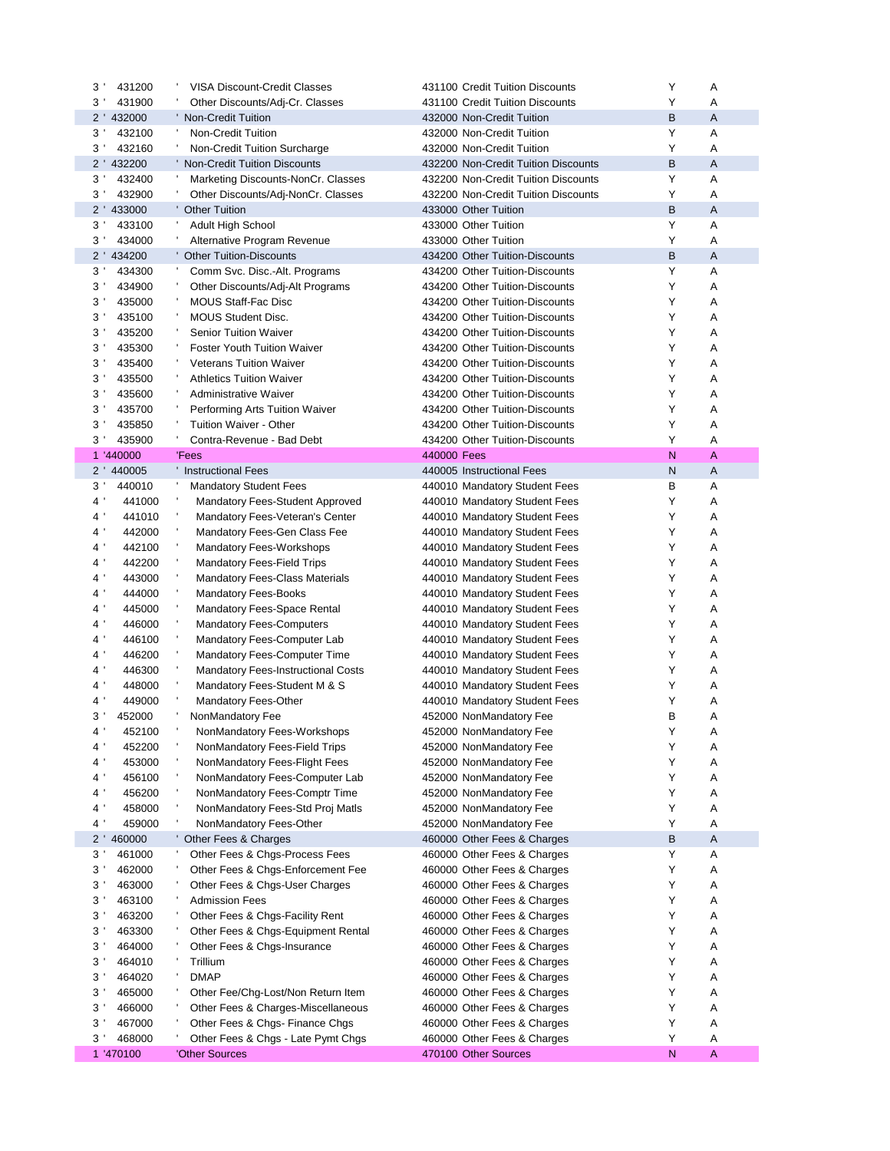|                        | <b>VISA Discount-Credit Classes</b>       | 431100 Credit Tuition Discounts     | Y      | Α              |
|------------------------|-------------------------------------------|-------------------------------------|--------|----------------|
| 431900<br>3'           | Other Discounts/Adj-Cr. Classes           | 431100 Credit Tuition Discounts     | Υ      | Α              |
| 2 ' 432000             | ' Non-Credit Tuition                      | 432000 Non-Credit Tuition           | B      | A              |
| $3^{\prime}$<br>432100 | Non-Credit Tuition                        | 432000 Non-Credit Tuition           | Y      | Α              |
| 432160<br>3'           | ۰,<br>Non-Credit Tuition Surcharge        | 432000 Non-Credit Tuition           | Υ      | A              |
| 2 ' 432200             | ' Non-Credit Tuition Discounts            | 432200 Non-Credit Tuition Discounts | B      | A              |
| $3^{\prime}$<br>432400 | л,<br>Marketing Discounts-NonCr. Classes  | 432200 Non-Credit Tuition Discounts | Υ      | Α              |
| $3^{\prime}$<br>432900 | л,<br>Other Discounts/Adj-NonCr. Classes  | 432200 Non-Credit Tuition Discounts | Υ      | Α              |
| 2 ' 433000             | <b>Other Tuition</b>                      | 433000 Other Tuition                | B      | A              |
| $3^{\prime}$<br>433100 | л,<br><b>Adult High School</b>            | 433000 Other Tuition                | Υ      | Α              |
| 3'<br>434000           | Ť,<br>Alternative Program Revenue         | 433000 Other Tuition                | Υ      | Α              |
| 2 ' 434200             | <b>Other Tuition-Discounts</b>            | 434200 Other Tuition-Discounts      | B      | A              |
| 3'<br>434300           | л,<br>Comm Svc. Disc.-Alt. Programs       | 434200 Other Tuition-Discounts      | Υ      | Α              |
| 3'<br>434900           | л,<br>Other Discounts/Adj-Alt Programs    | 434200 Other Tuition-Discounts      | Υ      | Α              |
| 435000<br>3            | ÷,<br><b>MOUS Staff-Fac Disc</b>          | 434200 Other Tuition-Discounts      | Y      | Α              |
| 435100<br>3'           | л,<br><b>MOUS Student Disc.</b>           | 434200 Other Tuition-Discounts      | Y      | Α              |
| 435200<br>3'           | л.<br><b>Senior Tuition Waiver</b>        | 434200 Other Tuition-Discounts      | Υ      | Α              |
| 3'<br>435300           | л.<br><b>Foster Youth Tuition Waiver</b>  | 434200 Other Tuition-Discounts      | Υ      | Α              |
| 3<br>435400            | ٠<br><b>Veterans Tuition Waiver</b>       | 434200 Other Tuition-Discounts      | Y      | Α              |
| 435500<br>3'           | <b>Athletics Tuition Waiver</b>           | 434200 Other Tuition-Discounts      | Y      | Α              |
| 435600<br>3            | Administrative Waiver                     | 434200 Other Tuition-Discounts      | Υ      | Α              |
| 3<br>435700            | ٠<br>Performing Arts Tuition Waiver       | 434200 Other Tuition-Discounts      | Υ      | A              |
| 3<br>435850            | Tuition Waiver - Other                    | 434200 Other Tuition-Discounts      | Y      | Α              |
| 435900<br>3'           | Contra-Revenue - Bad Debt<br>л.           | 434200 Other Tuition-Discounts      | Y      | Α              |
| 1 '440000              | 'Fees                                     | 440000 Fees                         | N      | A              |
| 2 ' 440005             | <b>Instructional Fees</b>                 | 440005 Instructional Fees           | N      | $\overline{A}$ |
| 3'<br>440010           | <b>Mandatory Student Fees</b>             | 440010 Mandatory Student Fees       | В      | Α              |
| 441000<br>4            | Mandatory Fees-Student Approved           | 440010 Mandatory Student Fees       | Υ      | Α              |
| $4^{\circ}$<br>441010  | Mandatory Fees-Veteran's Center           | 440010 Mandatory Student Fees       | Υ      | Α              |
| 442000<br>4            | Mandatory Fees-Gen Class Fee              | 440010 Mandatory Student Fees       | Υ      | Α              |
| 442100<br>4'           | J.<br><b>Mandatory Fees-Workshops</b>     | 440010 Mandatory Student Fees       | Y      | Α              |
|                        |                                           |                                     |        |                |
| 442200<br>4'           | <b>Mandatory Fees-Field Trips</b>         | 440010 Mandatory Student Fees       | Y      | Α              |
| $4^{\prime}$<br>443000 | <b>Mandatory Fees-Class Materials</b>     | 440010 Mandatory Student Fees       | Y      | Α              |
| 444000<br>4'           | <b>Mandatory Fees-Books</b>               | 440010 Mandatory Student Fees       | Υ      | Α              |
| 445000<br>4 '          | Mandatory Fees-Space Rental               | 440010 Mandatory Student Fees       | Υ      | Α              |
| 446000<br>4            | <b>Mandatory Fees-Computers</b>           | 440010 Mandatory Student Fees       | Y      | Α              |
| 4'<br>446100           | Mandatory Fees-Computer Lab               | 440010 Mandatory Student Fees       | Υ      | Α              |
| 446200<br>4'           | <b>Mandatory Fees-Computer Time</b>       | 440010 Mandatory Student Fees       | Y      | Α              |
| 446300<br>4            | <b>Mandatory Fees-Instructional Costs</b> | 440010 Mandatory Student Fees       | Υ      | Α              |
| 4<br>448000            | Mandatory Fees-Student M & S              | 440010 Mandatory Student Fees       | Y      | Α              |
| 4 '<br>449000          | Mandatory Fees-Other                      | 440010 Mandatory Student Fees       | Y      | Α              |
| 3'<br>452000           | NonMandatory Fee                          | 452000 NonMandatory Fee             | В      | Α              |
| 452100<br>4            | NonMandatory Fees-Workshops               | 452000 NonMandatory Fee             | Υ      | Α              |
| 4 '<br>452200          | NonMandatory Fees-Field Trips             | 452000 NonMandatory Fee             | Y      | Α              |
| 453000<br>4'           | NonMandatory Fees-Flight Fees             | 452000 NonMandatory Fee             | Y      | Α              |
| 456100<br>4 '          | NonMandatory Fees-Computer Lab            | 452000 NonMandatory Fee             | Y      | Α              |
| 456200<br>4 '          | NonMandatory Fees-Comptr Time             | 452000 NonMandatory Fee             | Y      | Α              |
| 4 '<br>458000          | NonMandatory Fees-Std Proj Matls          | 452000 NonMandatory Fee             | Y      | Α              |
| 4 '<br>459000          | NonMandatory Fees-Other                   | 452000 NonMandatory Fee             | Y      | Α              |
| 2 ' 460000             | ' Other Fees & Charges                    | 460000 Other Fees & Charges         | B      | A              |
| $3^{\prime}$<br>461000 | л,<br>Other Fees & Chgs-Process Fees      | 460000 Other Fees & Charges         | Y      | Α              |
| 3<br>462000            | ÷<br>Other Fees & Chgs-Enforcement Fee    | 460000 Other Fees & Charges         | Y      | Α              |
| 463000<br>3            | Other Fees & Chgs-User Charges            | 460000 Other Fees & Charges         | Y      | A              |
| 463100<br>$3^{\prime}$ | <b>Admission Fees</b>                     | 460000 Other Fees & Charges         | Y      | Α              |
| 463200<br>3            | Other Fees & Chgs-Facility Rent           | 460000 Other Fees & Charges         | Υ      | Α              |
| 3<br>463300            | J.<br>Other Fees & Chgs-Equipment Rental  | 460000 Other Fees & Charges         | Y      | Α              |
| 3<br>464000            | Other Fees & Chgs-Insurance               | 460000 Other Fees & Charges         | Y      | A              |
| 464010<br>$3^{\prime}$ | ٠<br>Trillium                             | 460000 Other Fees & Charges         | Υ      | A              |
| $3^{\prime}$<br>464020 | ٠<br><b>DMAP</b>                          | 460000 Other Fees & Charges         | Υ      | Α              |
| 3'<br>465000           | Other Fee/Chg-Lost/Non Return Item        | 460000 Other Fees & Charges         | Y      | Α              |
| 3<br>466000            | Other Fees & Charges-Miscellaneous        | 460000 Other Fees & Charges         | Y      | A              |
| $3^{\prime}$<br>467000 | ÷,<br>Other Fees & Chgs- Finance Chgs     | 460000 Other Fees & Charges         | Y      | Α              |
| $3^{\prime}$<br>468000 | Other Fees & Chgs - Late Pymt Chgs        | 460000 Other Fees & Charges         | Y<br>N | Α<br>A         |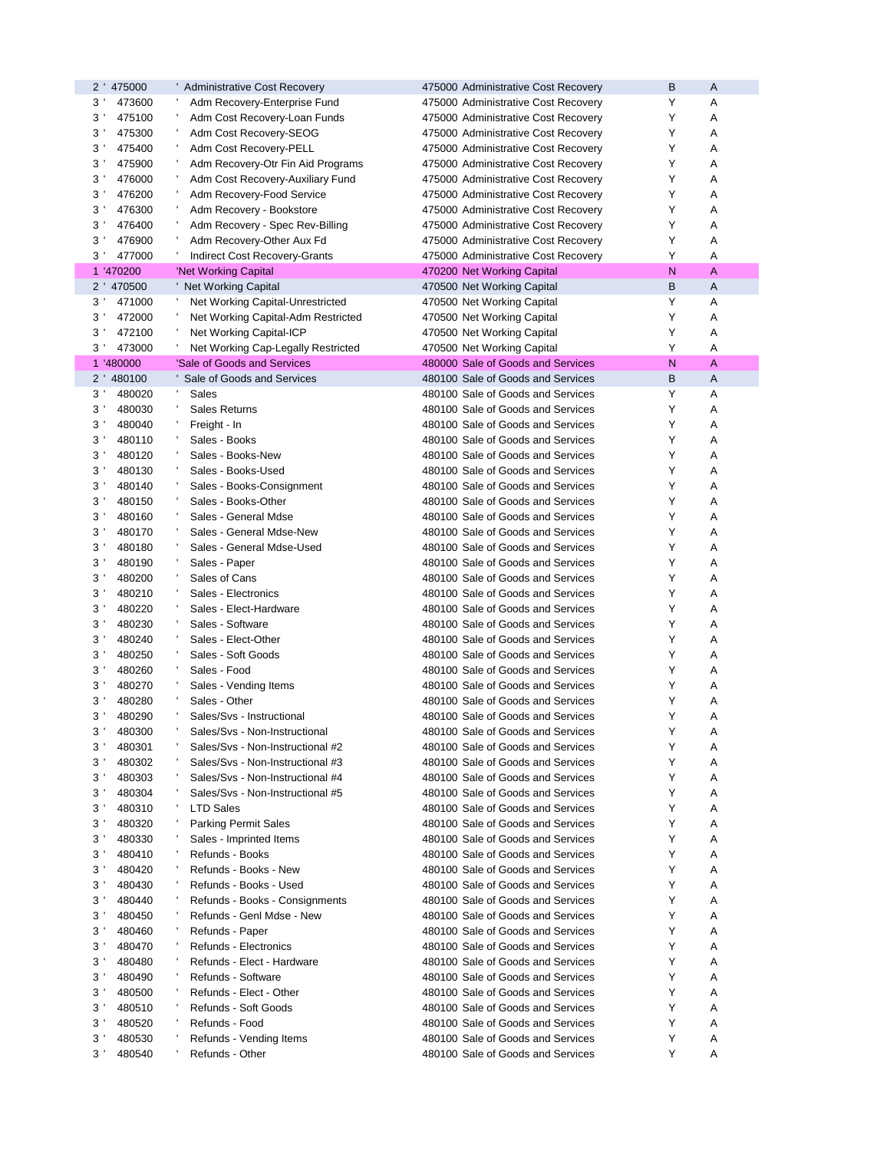| 2 ' 475000               | ' Administrative Cost Recovery             | 475000 Administrative Cost Recovery                                    | B | A |
|--------------------------|--------------------------------------------|------------------------------------------------------------------------|---|---|
| $3$ '<br>473600          | Adm Recovery-Enterprise Fund               | 475000 Administrative Cost Recovery                                    | Y | Α |
| 475100<br>3'             | Adm Cost Recovery-Loan Funds               | 475000 Administrative Cost Recovery                                    | Y | Α |
| $3^{\prime}$<br>475300   | Adm Cost Recovery-SEOG                     | 475000 Administrative Cost Recovery                                    | Y | Α |
| $3^{\prime}$<br>475400   | Adm Cost Recovery-PELL                     | 475000 Administrative Cost Recovery                                    | Υ | Α |
| $3^{\prime}$<br>475900   | Adm Recovery-Otr Fin Aid Programs          | 475000 Administrative Cost Recovery                                    | Υ | Α |
| 476000<br>3'             | Adm Cost Recovery-Auxiliary Fund           | 475000 Administrative Cost Recovery                                    | Y | Α |
| 3 <sup>1</sup><br>476200 | Adm Recovery-Food Service                  | 475000 Administrative Cost Recovery                                    | Y | Α |
| $3^{\prime}$<br>476300   | Adm Recovery - Bookstore                   | 475000 Administrative Cost Recovery                                    | Y | А |
| $3^{\prime}$<br>476400   | Adm Recovery - Spec Rev-Billing            | 475000 Administrative Cost Recovery                                    | Υ | А |
| 476900<br>3'             | Adm Recovery-Other Aux Fd                  | 475000 Administrative Cost Recovery                                    | Y | Α |
| $3^{\prime}$<br>477000   | Indirect Cost Recovery-Grants              | 475000 Administrative Cost Recovery                                    | Y | Α |
| 1 '470200                | 'Net Working Capital                       | 470200 Net Working Capital                                             | N | A |
| 2 ' 470500               | <b>Net Working Capital</b>                 | 470500 Net Working Capital                                             | B | Α |
| $3^{\prime}$<br>471000   | Net Working Capital-Unrestricted           | 470500 Net Working Capital                                             | Υ | Α |
| $3^{\prime}$<br>472000   | Net Working Capital-Adm Restricted         | 470500 Net Working Capital                                             | Υ | Α |
| $3^{\prime}$<br>472100   | Net Working Capital-ICP                    | 470500 Net Working Capital                                             | Υ | А |
| 473000<br>$3^{\prime}$   | Net Working Cap-Legally Restricted         | 470500 Net Working Capital                                             | Υ | Α |
| 1 '480000                | 'Sale of Goods and Services                | 480000 Sale of Goods and Services                                      | N | A |
| 2 ' 480100               | Sale of Goods and Services                 | 480100 Sale of Goods and Services                                      | B | Α |
| 3 <sup>1</sup><br>480020 | Sales                                      | 480100 Sale of Goods and Services                                      | Y | Α |
| $3^{\prime}$<br>480030   | <b>Sales Returns</b>                       | 480100 Sale of Goods and Services                                      | Υ | А |
| $3^{\prime}$<br>480040   |                                            | 480100 Sale of Goods and Services                                      | Υ | Α |
| 480110                   | Freight - In                               | 480100 Sale of Goods and Services                                      | Υ | A |
| 3'                       | Sales - Books                              |                                                                        |   |   |
| $3^{\prime}$<br>480120   | Sales - Books-New                          | 480100 Sale of Goods and Services                                      | Υ | А |
| 3 <sup>1</sup><br>480130 | Sales - Books-Used                         | 480100 Sale of Goods and Services                                      | Υ | А |
| $3^{\prime}$<br>480140   | Sales - Books-Consignment                  | 480100 Sale of Goods and Services                                      | Υ | А |
| 3'<br>480150             | Sales - Books-Other                        | 480100 Sale of Goods and Services                                      | Y | Α |
| $3^{\prime}$<br>480160   | Sales - General Mdse                       | 480100 Sale of Goods and Services                                      | Y | Α |
| $3^{\prime}$<br>480170   | Sales - General Mdse-New                   | 480100 Sale of Goods and Services                                      | Υ | Α |
| $3^{\prime}$<br>480180   | Sales - General Mdse-Used                  | 480100 Sale of Goods and Services                                      | Υ | Α |
| 3'<br>480190             | Sales - Paper                              | 480100 Sale of Goods and Services                                      | Y | Α |
| $3^{\prime}$<br>480200   | Sales of Cans                              | 480100 Sale of Goods and Services                                      | Y | А |
| $3^{\prime}$<br>480210   | Sales - Electronics                        | 480100 Sale of Goods and Services                                      | Y | А |
| $3^{\prime}$<br>480220   | Sales - Elect-Hardware                     | 480100 Sale of Goods and Services                                      | Y | А |
| 3'<br>480230             | Sales - Software                           | 480100 Sale of Goods and Services                                      | Y | Α |
| $3^{\prime}$<br>480240   | Sales - Elect-Other                        | 480100 Sale of Goods and Services                                      | Y | Α |
| 480250<br>$3^{\prime}$   | Sales - Soft Goods                         | 480100 Sale of Goods and Services                                      | Υ | А |
| $3^{\prime}$<br>480260   | Sales - Food                               | 480100 Sale of Goods and Services                                      | Υ | Α |
| 3<br>480270              | Sales - Vending Items                      | 480100 Sale of Goods and Services                                      | Y | Α |
| 3'<br>480280             | Sales - Other                              | 480100 Sale of Goods and Services                                      | Υ | Α |
| 3'<br>480290             | Sales/Svs - Instructional                  | 480100 Sale of Goods and Services                                      | Y | Α |
| $3^{\prime}$<br>480300   | Sales/Svs - Non-Instructional              | 480100 Sale of Goods and Services                                      | Υ | Α |
| 3 <sup>1</sup><br>480301 | Sales/Svs - Non-Instructional #2           | 480100 Sale of Goods and Services                                      | Υ | Α |
| 3 <sup>1</sup><br>480302 | Sales/Svs - Non-Instructional #3           | 480100 Sale of Goods and Services                                      | Υ | Α |
| 3 <sup>1</sup><br>480303 | Sales/Svs - Non-Instructional #4           | 480100 Sale of Goods and Services                                      | Y | Α |
| $3^{\prime}$<br>480304   | Sales/Svs - Non-Instructional #5           | 480100 Sale of Goods and Services                                      | Y | Α |
| 3 <sup>1</sup><br>480310 | <b>LTD Sales</b>                           | 480100 Sale of Goods and Services                                      | Y | Α |
| 3'<br>480320             | <b>Parking Permit Sales</b>                | 480100 Sale of Goods and Services                                      | Y | Α |
| 3 <sup>1</sup><br>480330 |                                            | 480100 Sale of Goods and Services                                      | Y | Α |
| $3^{\prime}$             | Sales - Imprinted Items<br>Refunds - Books |                                                                        | Y |   |
| 480410                   |                                            | 480100 Sale of Goods and Services<br>480100 Sale of Goods and Services | Y | Α |
| $3^{\prime}$<br>480420   | Refunds - Books - New                      |                                                                        |   | Α |
| 3'<br>480430             | Refunds - Books - Used                     | 480100 Sale of Goods and Services                                      | Y | Α |
| 3 <sup>1</sup><br>480440 | Refunds - Books - Consignments             | 480100 Sale of Goods and Services                                      | Y | Α |
| $3^{\prime}$<br>480450   | Refunds - Genl Mdse - New                  | 480100 Sale of Goods and Services                                      | Υ | Α |
| $3^{\prime}$<br>480460   | Refunds - Paper                            | 480100 Sale of Goods and Services                                      | Y | Α |
| 3'<br>480470             | Refunds - Electronics                      | 480100 Sale of Goods and Services                                      | Y | Α |
| 3 <sup>1</sup><br>480480 | Refunds - Elect - Hardware                 | 480100 Sale of Goods and Services                                      | Y | Α |
|                          |                                            |                                                                        |   |   |
| $3^{\prime}$<br>480490   | Refunds - Software                         | 480100 Sale of Goods and Services                                      | Y | Α |
| 3 <sup>1</sup><br>480500 | Refunds - Elect - Other                    | 480100 Sale of Goods and Services                                      | Y | Α |
| 3'<br>480510             | Refunds - Soft Goods                       | 480100 Sale of Goods and Services                                      | Y | Α |
| 3 <sup>1</sup><br>480520 | Refunds - Food                             | 480100 Sale of Goods and Services                                      | Y | Α |
| $3^{\prime}$<br>480530   | Refunds - Vending Items                    | 480100 Sale of Goods and Services                                      | Y | Α |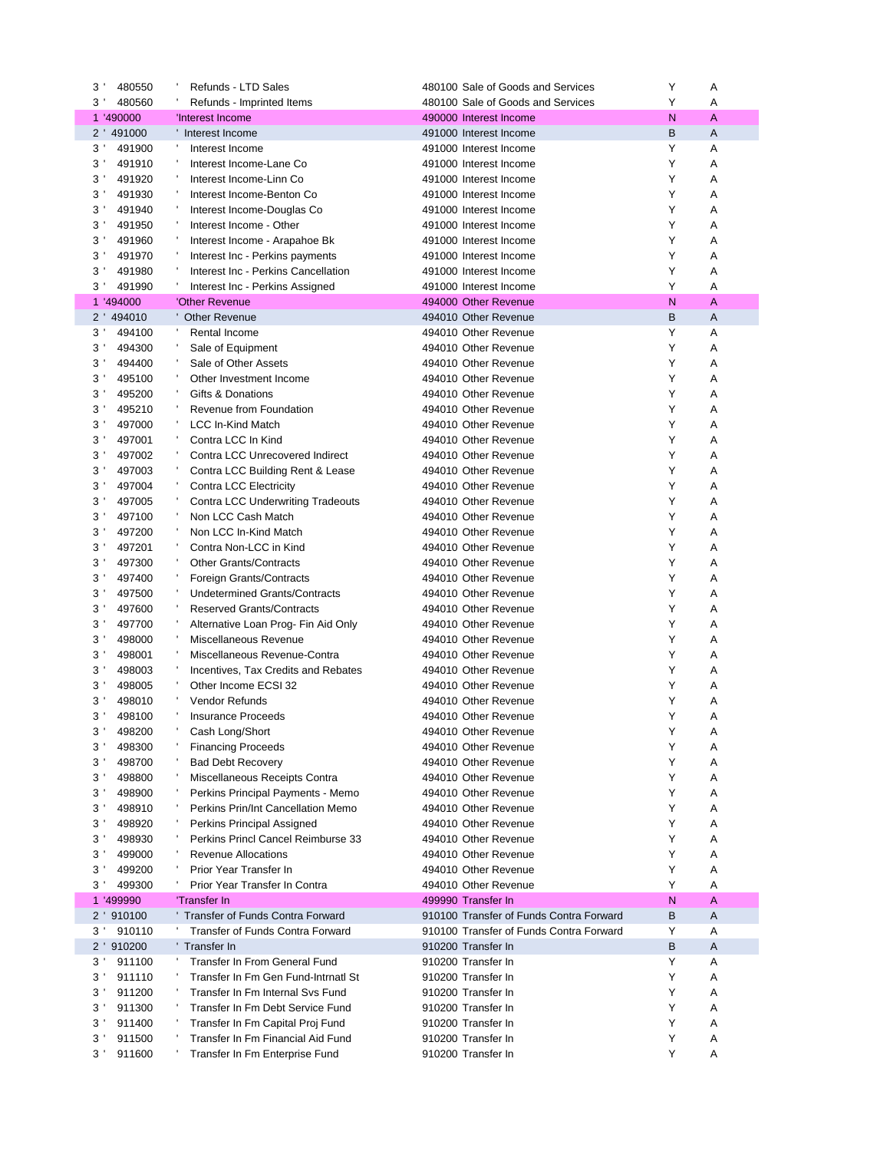| 3              | 480550     | Refunds - LTD Sales                      | 480100 Sale of Goods and Services       | Υ            | Α |  |
|----------------|------------|------------------------------------------|-----------------------------------------|--------------|---|--|
| 3              | 480560     | Refunds - Imprinted Items                | 480100 Sale of Goods and Services       | Y            | Α |  |
|                | 1 '490000  | 'Interest Income                         | 490000 Interest Income                  | N            | A |  |
|                | 2 ' 491000 | Interest Income                          | 491000 Interest Income                  | B            | A |  |
| 3 <sup>1</sup> | 491900     | Interest Income                          | 491000 Interest Income                  | Y            | Α |  |
| 3              | 491910     | Interest Income-Lane Co                  | 491000 Interest Income                  | Y            | Α |  |
| $3^{\prime}$   | 491920     | Interest Income-Linn Co                  | 491000 Interest Income                  | Y            | Α |  |
| 3'             | 491930     | Interest Income-Benton Co                | 491000 Interest Income                  | Y            | Α |  |
| 3 <sup>1</sup> | 491940     | Interest Income-Douglas Co               | 491000 Interest Income                  | Y            | Α |  |
| 3 <sup>1</sup> | 491950     | Interest Income - Other                  | 491000 Interest Income                  | Y            | Α |  |
| $3^{\prime}$   | 491960     | Interest Income - Arapahoe Bk            | 491000 Interest Income                  | Y            | Α |  |
| 3 <sup>1</sup> | 491970     | Interest Inc - Perkins payments          | 491000 Interest Income                  | Y            | Α |  |
| 3 <sup>1</sup> | 491980     | Interest Inc - Perkins Cancellation      | 491000 Interest Income                  | Y            | Α |  |
| 3              | 491990     | Interest Inc - Perkins Assigned          | 491000 Interest Income                  | Y            | Α |  |
|                | 1 '494000  | 'Other Revenue                           | 494000 Other Revenue                    | N            | A |  |
|                | 2 ' 494010 | <b>Other Revenue</b>                     | 494010 Other Revenue                    | B            | A |  |
| 3 <sup>1</sup> | 494100     | Rental Income                            | 494010 Other Revenue                    | Y            | Α |  |
| 3              | 494300     | Sale of Equipment                        | 494010 Other Revenue                    | Y            | Α |  |
| 3 <sup>1</sup> | 494400     | Sale of Other Assets                     | 494010 Other Revenue                    | Y            | Α |  |
| $3^{\prime}$   | 495100     | Other Investment Income                  | 494010 Other Revenue                    | Y            | Α |  |
| 3              | 495200     | Gifts & Donations                        | 494010 Other Revenue                    | Y            | Α |  |
| 3              | 495210     | Revenue from Foundation                  | 494010 Other Revenue                    | Y            | Α |  |
| 3              | 497000     | LCC In-Kind Match                        | 494010 Other Revenue                    | Y            | Α |  |
| $3^{\prime}$   | 497001     | Contra LCC In Kind                       | 494010 Other Revenue                    | Y            | Α |  |
| 3              | 497002     | Contra LCC Unrecovered Indirect          | 494010 Other Revenue                    | Y            | Α |  |
| 3              | 497003     |                                          | 494010 Other Revenue                    | Y            |   |  |
|                |            | Contra LCC Building Rent & Lease         |                                         | Y            | Α |  |
| 3              | 497004     | Contra LCC Electricity                   | 494010 Other Revenue                    |              | Α |  |
| $3^{\prime}$   | 497005     | <b>Contra LCC Underwriting Tradeouts</b> | 494010 Other Revenue                    | Y            | Α |  |
| 3 <sup>1</sup> | 497100     | Non LCC Cash Match                       | 494010 Other Revenue                    | Y            | Α |  |
| 3 <sup>1</sup> | 497200     | Non LCC In-Kind Match                    | 494010 Other Revenue                    | Y            | Α |  |
| 3              | 497201     | Contra Non-LCC in Kind                   | 494010 Other Revenue                    | Y            | Α |  |
| $3^{\prime}$   | 497300     | <b>Other Grants/Contracts</b>            | 494010 Other Revenue                    | Y            | Α |  |
| 3 <sup>1</sup> | 497400     | Foreign Grants/Contracts                 | 494010 Other Revenue                    | Y            | Α |  |
| 3 <sup>1</sup> | 497500     | <b>Undetermined Grants/Contracts</b>     | 494010 Other Revenue                    | Y            | Α |  |
| 3              | 497600     | <b>Reserved Grants/Contracts</b>         | 494010 Other Revenue                    | Y            | Α |  |
| $3^{\prime}$   | 497700     | Alternative Loan Prog- Fin Aid Only      | 494010 Other Revenue                    | Y            | Α |  |
| 3'             | 498000     | Miscellaneous Revenue                    | 494010 Other Revenue                    | Y            | Α |  |
| 3 <sup>1</sup> | 498001     | Miscellaneous Revenue-Contra             | 494010 Other Revenue                    | Y            | Α |  |
| 3              | 498003     | Incentives, Tax Credits and Rebates      | 494010 Other Revenue                    | Y            | Α |  |
| 3              | 498005     | Other Income ECSI 32                     | 494010 Other Revenue                    | Y            | Α |  |
| 3              | 498010     | <b>Vendor Refunds</b>                    | 494010 Other Revenue                    | Υ            | Α |  |
| 3'             | 498100     | <b>Insurance Proceeds</b>                | 494010 Other Revenue                    | Y            | Α |  |
| 3'             | 498200     | Cash Long/Short                          | 494010 Other Revenue                    | Y            | Α |  |
| 3              | 498300     | <b>Financing Proceeds</b>                | 494010 Other Revenue                    | Υ            | Α |  |
| 3 <sup>1</sup> | 498700     | <b>Bad Debt Recovery</b>                 | 494010 Other Revenue                    | Y            | Α |  |
| 3              | 498800     | Miscellaneous Receipts Contra            | 494010 Other Revenue                    | Υ            | Α |  |
| 3              | 498900     | Perkins Principal Payments - Memo        | 494010 Other Revenue                    | Y            | Α |  |
| $3^{\prime}$   | 498910     | Perkins Prin/Int Cancellation Memo       | 494010 Other Revenue                    | Υ            | Α |  |
| 3 <sup>1</sup> | 498920     | Perkins Principal Assigned               | 494010 Other Revenue                    | Υ            | Α |  |
| 3 <sup>1</sup> | 498930     | Perkins Princl Cancel Reimburse 33       | 494010 Other Revenue                    | Y            | Α |  |
| 3 <sup>1</sup> | 499000     | <b>Revenue Allocations</b>               | 494010 Other Revenue                    | Υ            | Α |  |
| $3^{\prime}$   | 499200     | Prior Year Transfer In                   | 494010 Other Revenue                    | Υ            | Α |  |
| 3 <sup>1</sup> | 499300     | Prior Year Transfer In Contra<br>л,      | 494010 Other Revenue                    | Υ            | Α |  |
|                | 1 '499990  | 'Transfer In                             | 499990 Transfer In                      | $\mathsf{N}$ | A |  |
| $2^{\prime}$   | 910100     | Transfer of Funds Contra Forward         | 910100 Transfer of Funds Contra Forward | В            | A |  |
| 3 <sup>1</sup> | 910110     | Transfer of Funds Contra Forward         | 910100 Transfer of Funds Contra Forward | Υ            | Α |  |
|                | 2 ' 910200 | 'Transfer In                             | 910200 Transfer In                      | В            | Α |  |
| 3 <sup>1</sup> | 911100     | Transfer In From General Fund            | 910200 Transfer In                      | Υ            | Α |  |
| $3^{\prime}$   | 911110     | Transfer In Fm Gen Fund-Intrnatl St      | 910200 Transfer In                      | Υ            | Α |  |
| 3              | 911200     | Transfer In Fm Internal Svs Fund         | 910200 Transfer In                      | Υ            | Α |  |
| $3^{\prime}$   | 911300     | Transfer In Fm Debt Service Fund         | 910200 Transfer In                      | Υ            | Α |  |
| $3^{\prime}$   | 911400     | Transfer In Fm Capital Proj Fund         | 910200 Transfer In                      | Υ            | Α |  |
| 3 <sup>1</sup> | 911500     | Transfer In Fm Financial Aid Fund        | 910200 Transfer In                      | Υ            | Α |  |
| 3 <sup>1</sup> | 911600     | Transfer In Fm Enterprise Fund           | 910200 Transfer In                      | Υ            | Α |  |
|                |            |                                          |                                         |              |   |  |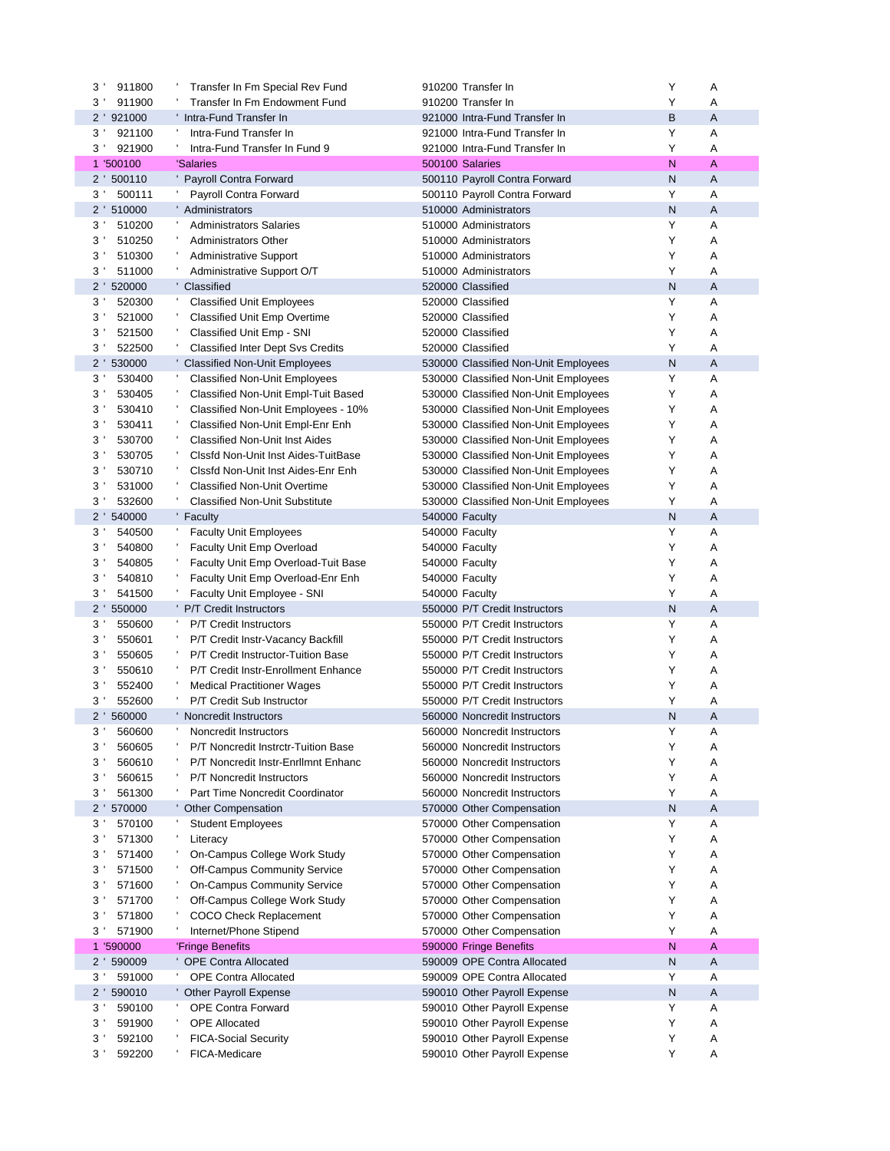|                            | Transfer In Fm Special Rev Fund                                            | 910200 Transfer In                                           | Υ              | Α      |
|----------------------------|----------------------------------------------------------------------------|--------------------------------------------------------------|----------------|--------|
| 911900<br>3'               | Transfer In Fm Endowment Fund                                              | 910200 Transfer In                                           | Υ              | Α      |
| 2 '921000                  | Intra-Fund Transfer In                                                     | 921000 Intra-Fund Transfer In                                | В              | A      |
| 921100<br>3'               | Intra-Fund Transfer In                                                     | 921000 Intra-Fund Transfer In                                | Υ              | Α      |
| 921900<br>3'               | Intra-Fund Transfer In Fund 9                                              | 921000 Intra-Fund Transfer In                                | Y              | Α      |
| 1 '500100                  | 'Salaries                                                                  | 500100 Salaries                                              | N              | А      |
| 2 ' 500110                 | Payroll Contra Forward                                                     | 500110 Payroll Contra Forward                                | N              | A      |
| 500111<br>$3^{\prime}$     | Payroll Contra Forward                                                     | 500110 Payroll Contra Forward                                | Y              | Α      |
| 2 ' 510000                 | ' Administrators                                                           | 510000 Administrators                                        | N              | A      |
| 510200<br>3 <sup>1</sup>   | <b>Administrators Salaries</b>                                             | 510000 Administrators                                        | Υ              | Α      |
| 510250<br>3'               | <b>Administrators Other</b>                                                | 510000 Administrators                                        | Υ              | Α      |
| 510300<br>3'               | <b>Administrative Support</b>                                              | 510000 Administrators                                        | Υ              | Α      |
| 3'<br>511000               | Administrative Support O/T                                                 | 510000 Administrators                                        | Υ              | Α      |
| 2 ' 520000                 | Classified                                                                 | 520000 Classified                                            | ${\sf N}$      | A      |
| 520300<br>3'               | <b>Classified Unit Employees</b>                                           | 520000 Classified                                            | Υ              | Α      |
| 521000<br>3'               | <b>Classified Unit Emp Overtime</b>                                        | 520000 Classified                                            | Υ              | Α      |
| 521500<br>3'               | Classified Unit Emp - SNI                                                  | 520000 Classified                                            | Υ              | Α      |
| 3'<br>522500               | <b>Classified Inter Dept Svs Credits</b>                                   | 520000 Classified                                            | Υ              | Α      |
| 2 ' 530000                 | <b>Classified Non-Unit Employees</b>                                       | 530000 Classified Non-Unit Employees                         | N              | A      |
| 3 <sup>1</sup><br>530400   | <b>Classified Non-Unit Employees</b>                                       | 530000 Classified Non-Unit Employees                         | Υ              | Α      |
| 530405<br>3'               | Classified Non-Unit Empl-Tuit Based                                        | 530000 Classified Non-Unit Employees                         | Υ              | Α      |
| 530410<br>3'               | Classified Non-Unit Employees - 10%                                        | 530000 Classified Non-Unit Employees                         | Υ              | Α      |
| 530411<br>3                | Classified Non-Unit Empl-Enr Enh                                           | 530000 Classified Non-Unit Employees                         | Y              | Α      |
| 530700<br>3'               | <b>Classified Non-Unit Inst Aides</b>                                      | 530000 Classified Non-Unit Employees                         | Υ              | Α      |
| 530705<br>3'               | Clssfd Non-Unit Inst Aides-TuitBase                                        | 530000 Classified Non-Unit Employees                         | Y              | Α      |
| 530710<br>3'<br>531000     | Clssfd Non-Unit Inst Aides-Enr Enh                                         | 530000 Classified Non-Unit Employees                         | Υ              | Α      |
| 3                          | <b>Classified Non-Unit Overtime</b>                                        | 530000 Classified Non-Unit Employees                         | Υ              | Α      |
| 532600<br>3'<br>2 ' 540000 | <b>Classified Non-Unit Substitute</b>                                      | 530000 Classified Non-Unit Employees                         | Υ<br>${\sf N}$ | Α<br>A |
| 540500<br>3'               | Faculty                                                                    | 540000 Faculty                                               | Y              | Α      |
| 540800<br>3                | <b>Faculty Unit Employees</b>                                              | 540000 Faculty                                               | Y              | Α      |
| 540805<br>3                | Faculty Unit Emp Overload                                                  | 540000 Faculty                                               | Y              | Α      |
| 540810                     | Faculty Unit Emp Overload-Tuit Base                                        | 540000 Faculty                                               | Y              | Α      |
| 3'<br>3'<br>541500         | Faculty Unit Emp Overload-Enr Enh                                          | 540000 Faculty                                               | Y              | A      |
| 2 ' 550000                 | Faculty Unit Employee - SNI<br><b>P/T Credit Instructors</b>               | 540000 Faculty<br>550000 P/T Credit Instructors              | N              | A      |
| 550600<br>3 <sup>1</sup>   | <b>P/T Credit Instructors</b>                                              | 550000 P/T Credit Instructors                                | Y              | Α      |
| 550601<br>3 <sup>1</sup>   | P/T Credit Instr-Vacancy Backfill                                          | 550000 P/T Credit Instructors                                | Y              | Α      |
| 3'<br>550605               | P/T Credit Instructor-Tuition Base                                         | 550000 P/T Credit Instructors                                | Y              | Α      |
| 3'<br>550610               | P/T Credit Instr-Enrollment Enhance                                        |                                                              |                |        |
|                            |                                                                            |                                                              |                |        |
|                            |                                                                            | 550000 P/T Credit Instructors                                | Y              | Α      |
| 3'<br>552400               | <b>Medical Practitioner Wages</b>                                          | 550000 P/T Credit Instructors                                | Y              | Α      |
| 552600<br>3'               | P/T Credit Sub Instructor                                                  | 550000 P/T Credit Instructors                                | Y              | Α      |
| 2 ' 560000<br>$3^{\prime}$ | Noncredit Instructors                                                      | 560000 Noncredit Instructors                                 | N<br>Υ         | A<br>Δ |
| 560600                     | Noncredit Instructors                                                      | 560000 Noncredit Instructors                                 |                |        |
| 3'<br>560605<br>3'         | P/T Noncredit Instrctr-Tuition Base<br>P/T Noncredit Instr-EnrlImnt Enhanc | 560000 Noncredit Instructors                                 | Y<br>Y         | Α      |
| 560610<br>3'               | <b>P/T Noncredit Instructors</b>                                           | 560000 Noncredit Instructors                                 | Υ              | Α      |
| 560615<br>561300<br>3'     | Part Time Noncredit Coordinator                                            | 560000 Noncredit Instructors<br>560000 Noncredit Instructors | Υ              | Α<br>Α |
| 2 ' 570000                 | <b>Other Compensation</b>                                                  | 570000 Other Compensation                                    | N              | Α      |
| 3 <sup>1</sup><br>570100   | <b>Student Employees</b>                                                   | 570000 Other Compensation                                    | Y              | Α      |
| 571300<br>3'               | Literacy                                                                   | 570000 Other Compensation                                    | Υ              | Α      |
| 571400<br>3'               | On-Campus College Work Study                                               | 570000 Other Compensation                                    | Υ              | Α      |
| 571500<br>3                | Off-Campus Community Service                                               | 570000 Other Compensation                                    | Υ              | Α      |
| 571600<br>3                | On-Campus Community Service                                                | 570000 Other Compensation                                    | Y              | Α      |
| 571700<br>3'               | Off-Campus College Work Study                                              | 570000 Other Compensation                                    | Υ              | Α      |
| 571800<br>3'               | COCO Check Replacement                                                     | 570000 Other Compensation                                    | Υ              | Α      |
| 3'<br>571900               | Internet/Phone Stipend                                                     | 570000 Other Compensation                                    | Υ              | Α      |
| 1 '590000                  | 'Fringe Benefits                                                           | 590000 Fringe Benefits                                       | N              | А      |
| 2 ' 590009                 | <b>OPE Contra Allocated</b>                                                | 590009 OPE Contra Allocated                                  | N              | Α      |
| 591000<br>3'               | <b>OPE Contra Allocated</b>                                                | 590009 OPE Contra Allocated                                  | Y              | Α      |
| 2 ' 590010                 | ' Other Payroll Expense                                                    | 590010 Other Payroll Expense                                 | N              | Α      |
| 590100<br>3'               | <b>OPE Contra Forward</b>                                                  | 590010 Other Payroll Expense                                 | Y              | Α      |
| 591900<br>$3^{\prime}$     | <b>OPE Allocated</b>                                                       | 590010 Other Payroll Expense                                 | Υ              | Α      |
| 3'<br>592100               | <b>FICA-Social Security</b>                                                | 590010 Other Payroll Expense                                 | Υ              | Α      |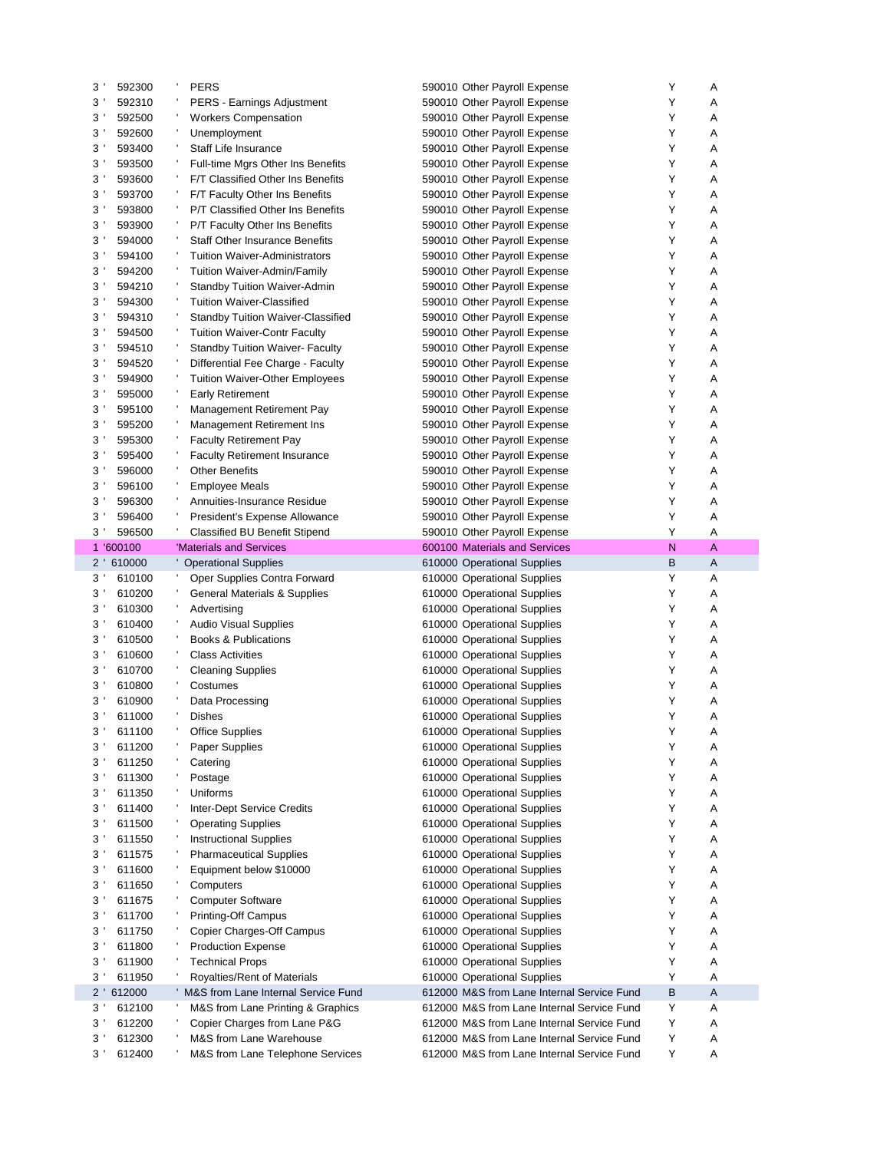| $3^{\prime}$                     | 592300           | <b>PERS</b>                                                 | 590010 Other Payroll Expense                                                             | Υ      | Α      |
|----------------------------------|------------------|-------------------------------------------------------------|------------------------------------------------------------------------------------------|--------|--------|
| 3 <sup>1</sup>                   | 592310           | <b>PERS - Earnings Adjustment</b>                           | 590010 Other Payroll Expense                                                             | Y      | Α      |
| 3                                | 592500           | <b>Workers Compensation</b>                                 | 590010 Other Payroll Expense                                                             | Υ      | Α      |
| $3^{\prime}$                     | 592600           | Unemployment                                                | 590010 Other Payroll Expense                                                             | Υ      | Α      |
| 3'                               | 593400           | Staff Life Insurance                                        | 590010 Other Payroll Expense                                                             | Y      | Α      |
| $3^{\prime}$                     | 593500           | Full-time Mgrs Other Ins Benefits                           | 590010 Other Payroll Expense                                                             | Υ      | Α      |
| 3                                | 593600           | F/T Classified Other Ins Benefits                           | 590010 Other Payroll Expense                                                             | Υ      | Α      |
| 3 <sup>1</sup>                   | 593700           | F/T Faculty Other Ins Benefits                              | 590010 Other Payroll Expense                                                             | Υ      | Α      |
| 3 <sup>1</sup>                   | 593800           | P/T Classified Other Ins Benefits                           | 590010 Other Payroll Expense                                                             | Υ      | Α      |
| $3^{\prime}$                     | 593900           | P/T Faculty Other Ins Benefits                              | 590010 Other Payroll Expense                                                             | Υ      | Α      |
| 3'                               | 594000           | <b>Staff Other Insurance Benefits</b>                       | 590010 Other Payroll Expense                                                             | Υ      | Α      |
| $3^{\prime}$                     | 594100           | <b>Tuition Waiver-Administrators</b>                        | 590010 Other Payroll Expense                                                             | Υ      | Α      |
| $3^{\prime}$                     | 594200           | Tuition Waiver-Admin/Family                                 | 590010 Other Payroll Expense                                                             | Υ      | Α      |
| $3^{\prime}$                     | 594210           | <b>Standby Tuition Waiver-Admin</b>                         | 590010 Other Payroll Expense                                                             | Υ      | Α      |
| $3^{\prime}$                     | 594300           | <b>Tuition Waiver-Classified</b>                            |                                                                                          | Υ      | Α      |
| $3^{\prime}$                     | 594310           | <b>Standby Tuition Waiver-Classified</b>                    | 590010 Other Payroll Expense                                                             | Υ      | Α      |
|                                  |                  |                                                             | 590010 Other Payroll Expense                                                             | Υ      | Α      |
| 3 <sup>1</sup>                   | 594500           | <b>Tuition Waiver-Contr Faculty</b>                         | 590010 Other Payroll Expense                                                             |        |        |
| $3^{\prime}$                     | 594510           | <b>Standby Tuition Waiver- Faculty</b>                      | 590010 Other Payroll Expense                                                             | Υ      | Α      |
| $3^{\prime}$                     | 594520           | Differential Fee Charge - Faculty                           | 590010 Other Payroll Expense                                                             | Υ      | Α      |
| 3'                               | 594900           | <b>Tuition Waiver-Other Employees</b>                       | 590010 Other Payroll Expense                                                             | Υ      | Α      |
| $3^{\prime}$                     | 595000           | Early Retirement                                            | 590010 Other Payroll Expense                                                             | Υ      | A      |
| 3'                               | 595100           | <b>Management Retirement Pay</b>                            | 590010 Other Payroll Expense                                                             | Υ      | Α      |
| 3                                | 595200           | <b>Management Retirement Ins</b>                            | 590010 Other Payroll Expense                                                             | Υ      | Α      |
| 3'                               | 595300           | <b>Faculty Retirement Pay</b>                               | 590010 Other Payroll Expense                                                             | Υ      | Α      |
| $3^{\prime}$                     | 595400           | <b>Faculty Retirement Insurance</b>                         | 590010 Other Payroll Expense                                                             | Υ      | A      |
| 3'                               | 596000           | <b>Other Benefits</b>                                       | 590010 Other Payroll Expense                                                             | Y      | Α      |
| $3^{\prime}$                     | 596100           | Employee Meals                                              | 590010 Other Payroll Expense                                                             | Υ      | Α      |
| 3                                | 596300           | Annuities-Insurance Residue                                 | 590010 Other Payroll Expense                                                             | Υ      | Α      |
| 3 <sup>1</sup>                   | 596400           | President's Expense Allowance                               | 590010 Other Payroll Expense                                                             | Υ      | A      |
| 3 <sup>1</sup>                   | 596500           | <b>Classified BU Benefit Stipend</b>                        | 590010 Other Payroll Expense                                                             | Υ      | Α      |
|                                  | 1 '600100        | 'Materials and Services                                     | 600100 Materials and Services                                                            | N      | A      |
|                                  | 2 ' 610000       | <b>Operational Supplies</b>                                 | 610000 Operational Supplies                                                              | В      | A      |
|                                  |                  |                                                             |                                                                                          |        |        |
| 3 <sup>1</sup>                   | 610100           | Oper Supplies Contra Forward                                | 610000 Operational Supplies                                                              | Υ      | Α      |
| 3 <sup>1</sup>                   | 610200           | General Materials & Supplies                                | 610000 Operational Supplies                                                              | Υ      | Α      |
| $3^{\prime}$                     | 610300           | Advertising                                                 | 610000 Operational Supplies                                                              | Υ      | Α      |
| 3'                               | 610400           | <b>Audio Visual Supplies</b>                                | 610000 Operational Supplies                                                              | Υ      | Α      |
| $3^{\prime}$                     | 610500           | Books & Publications                                        | 610000 Operational Supplies                                                              | Υ      | Α      |
| $3^{\prime}$                     | 610600           | <b>Class Activities</b>                                     | 610000 Operational Supplies                                                              | Υ      | Α      |
| $3^{\prime}$                     | 610700           | <b>Cleaning Supplies</b>                                    | 610000 Operational Supplies                                                              | Υ      | Α      |
| 3'                               | 610800           | Costumes                                                    | 610000 Operational Supplies                                                              | Y      | Α      |
| $3^{\prime}$                     | 610900           | Data Processing                                             | 610000 Operational Supplies                                                              | Y      | Α      |
| 3 <sup>1</sup>                   | 611000           | <b>Dishes</b>                                               | 610000 Operational Supplies                                                              | Υ      | A      |
| 3 <sup>1</sup>                   | 611100           |                                                             |                                                                                          | Υ      | Α      |
| 3                                |                  | Office Supplies                                             | 610000 Operational Supplies                                                              | Υ      |        |
| 3'                               | 611200<br>611250 | Paper Supplies<br>Catering                                  | 610000 Operational Supplies<br>610000 Operational Supplies                               | Υ      | Α<br>Α |
| $3^{\prime}$                     | 611300           | Postage                                                     | 610000 Operational Supplies                                                              | Υ      | Α      |
| 3'                               | 611350           | Uniforms                                                    | 610000 Operational Supplies                                                              | Υ      | Α      |
| 3                                | 611400           |                                                             | 610000 Operational Supplies                                                              | Υ      | Α      |
|                                  | 611500           | <b>Inter-Dept Service Credits</b>                           |                                                                                          | Υ      |        |
| $3^{\prime}$                     |                  | <b>Operating Supplies</b>                                   | 610000 Operational Supplies                                                              |        | Α      |
| 3 <sup>1</sup>                   | 611550           | <b>Instructional Supplies</b>                               | 610000 Operational Supplies                                                              | Υ      | Α      |
| 3 <sup>1</sup>                   | 611575           | <b>Pharmaceutical Supplies</b>                              | 610000 Operational Supplies                                                              | Υ      | Α      |
| 3 <sup>1</sup>                   | 611600           | Equipment below \$10000                                     | 610000 Operational Supplies                                                              | Υ      | Α      |
| $3^{\circ}$                      | 611650           | Computers                                                   | 610000 Operational Supplies                                                              | Υ      | Α      |
| 3 <sup>1</sup>                   | 611675           | <b>Computer Software</b>                                    | 610000 Operational Supplies                                                              | Υ      | Α      |
| 3 <sup>1</sup>                   | 611700           | <b>Printing-Off Campus</b>                                  | 610000 Operational Supplies                                                              | Υ      | Α      |
| 3 <sup>1</sup>                   | 611750           | Copier Charges-Off Campus                                   | 610000 Operational Supplies                                                              | Υ      | Α      |
| $3^{\prime}$                     | 611800           | <b>Production Expense</b>                                   | 610000 Operational Supplies                                                              | Υ      | Α      |
| 3 <sup>1</sup>                   | 611900           | <b>Technical Props</b>                                      | 610000 Operational Supplies                                                              | Υ      | Α      |
| 3 <sup>1</sup>                   | 611950           | Royalties/Rent of Materials                                 | 610000 Operational Supplies                                                              | Υ      | Α      |
| $2^{\prime}$                     | 612000           | M&S from Lane Internal Service Fund                         | 612000 M&S from Lane Internal Service Fund                                               | в      | A      |
| 3 <sup>1</sup>                   | 612100           | M&S from Lane Printing & Graphics                           | 612000 M&S from Lane Internal Service Fund                                               | Υ      | Α      |
| 3 <sup>1</sup>                   | 612200           | Copier Charges from Lane P&G                                | 612000 M&S from Lane Internal Service Fund                                               | Υ      | Α      |
| 3 <sup>1</sup><br>3 <sup>1</sup> | 612300<br>612400 | M&S from Lane Warehouse<br>M&S from Lane Telephone Services | 612000 M&S from Lane Internal Service Fund<br>612000 M&S from Lane Internal Service Fund | Υ<br>Υ | Α<br>Α |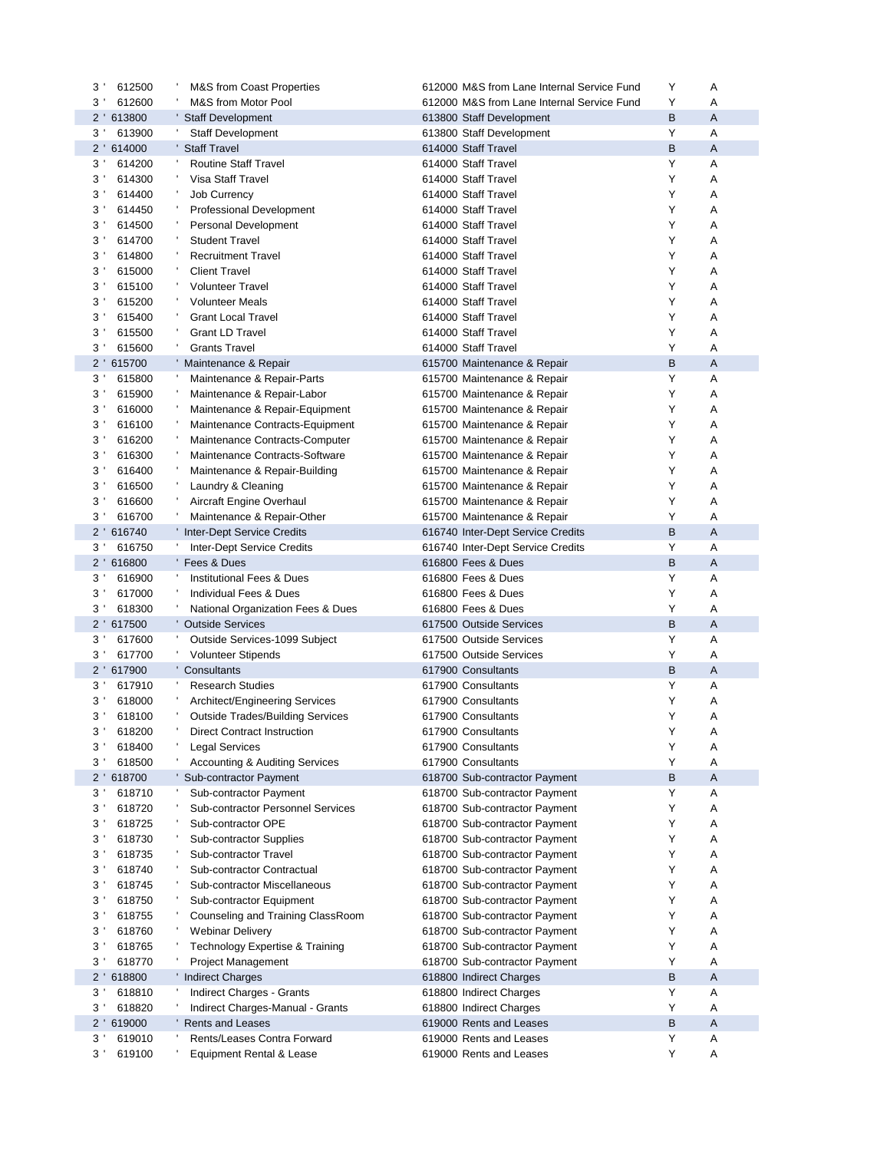| 612500<br>3'             | M&S from Coast Properties                 | 612000 M&S from Lane Internal Service Fund | Υ | Α |
|--------------------------|-------------------------------------------|--------------------------------------------|---|---|
| 3<br>612600              | M&S from Motor Pool                       | 612000 M&S from Lane Internal Service Fund | Υ | Α |
| 2 ' 613800               | <b>Staff Development</b>                  | 613800 Staff Development                   | B | A |
| $3^{\prime}$<br>613900   | Staff Development                         | 613800 Staff Development                   | Υ | Α |
| $2^{\prime}$<br>614000   | <b>Staff Travel</b>                       | 614000 Staff Travel                        | B | A |
| 3'<br>614200             | л,<br><b>Routine Staff Travel</b>         | 614000 Staff Travel                        | Υ | Α |
| 3<br>614300              | л,<br>Visa Staff Travel                   | 614000 Staff Travel                        | Υ | Α |
| 3<br>614400              | ٠<br><b>Job Currency</b>                  | 614000 Staff Travel                        | Y | Α |
| 3<br>614450              | ÷<br>Professional Development             | 614000 Staff Travel                        | Y | Α |
| 3<br>614500              | ÷<br>Personal Development                 | 614000 Staff Travel                        | Y | Α |
| 3<br>614700              | ÷<br><b>Student Travel</b>                | 614000 Staff Travel                        | Υ | Α |
| 3'<br>614800             | ٠<br><b>Recruitment Travel</b>            | 614000 Staff Travel                        | Υ | Α |
| 3'<br>615000             | ٠<br><b>Client Travel</b>                 | 614000 Staff Travel                        | Y | Α |
| 3<br>615100              | <b>Volunteer Travel</b>                   | 614000 Staff Travel                        | Y | Α |
| 3<br>615200              | <b>Volunteer Meals</b>                    | 614000 Staff Travel                        | Y | Α |
| 3<br>615400              | <b>Grant Local Travel</b>                 | 614000 Staff Travel                        | Y | Α |
| 3<br>615500              | <b>Grant LD Travel</b>                    | 614000 Staff Travel                        | Υ | Α |
| 3 <sup>1</sup><br>615600 | <b>Grants Travel</b>                      | 614000 Staff Travel                        | Y | Α |
| $2^{\prime}$<br>615700   | ' Maintenance & Repair                    | 615700 Maintenance & Repair                | B | A |
|                          |                                           |                                            | Υ |   |
| 3'<br>615800             | Maintenance & Repair-Parts<br>$\,$        | 615700 Maintenance & Repair                |   | Α |
| 3'<br>615900             | Maintenance & Repair-Labor<br>÷           | 615700 Maintenance & Repair                | Υ | Α |
| 3'<br>616000             | Maintenance & Repair-Equipment<br>J,      | 615700 Maintenance & Repair                | Y | Α |
| 3<br>616100              | Maintenance Contracts-Equipment<br>÷      | 615700 Maintenance & Repair                | Υ | Α |
| 3'<br>616200             | Maintenance Contracts-Computer<br>٠       | 615700 Maintenance & Repair                | Y | Α |
| 3<br>616300              | Maintenance Contracts-Software            | 615700 Maintenance & Repair                | Υ | Α |
| 3'<br>616400             | ÷<br>Maintenance & Repair-Building        | 615700 Maintenance & Repair                | Y | Α |
| 3<br>616500              | ÷<br>Laundry & Cleaning                   | 615700 Maintenance & Repair                | Υ | Α |
| 3'<br>616600             | J.<br>Aircraft Engine Overhaul            | 615700 Maintenance & Repair                | Υ | Α |
| 3'<br>616700             | Maintenance & Repair-Other                | 615700 Maintenance & Repair                | Υ | Α |
| 2 ' 616740               | ' Inter-Dept Service Credits              | 616740 Inter-Dept Service Credits          | B | A |
| $3^{\prime}$<br>616750   | <b>Inter-Dept Service Credits</b>         | 616740 Inter-Dept Service Credits          | Υ | Α |
| 2 ' 616800               | 'Fees & Dues                              | 616800 Fees & Dues                         | B | A |
| 3'<br>616900             | <b>Institutional Fees &amp; Dues</b>      | 616800 Fees & Dues                         | Υ | Α |
| 3<br>617000              | $\,$<br>Individual Fees & Dues            | 616800 Fees & Dues                         | Υ | Α |
| 3<br>618300              | National Organization Fees & Dues         | 616800 Fees & Dues                         | Υ | Α |
| $2^{\prime}$<br>617500   | <b>Outside Services</b>                   | 617500 Outside Services                    | B | A |
| 3'<br>617600             | л,<br>Outside Services-1099 Subject       | 617500 Outside Services                    | Υ | Α |
| 3'<br>617700             | <b>Volunteer Stipends</b>                 | 617500 Outside Services                    | Υ | Α |
| 2 ' 617900               | ' Consultants                             | 617900 Consultants                         | B | A |
| 3'<br>617910             | л,<br><b>Research Studies</b>             | 617900 Consultants                         | Υ | Α |
| 3'<br>618000             | Architect/Engineering Services            | 617900 Consultants                         | Υ | Α |
| 3'<br>618100             | <b>Outside Trades/Building Services</b>   | 617900 Consultants                         | Υ | Α |
| $3^{\circ}$<br>618200    | Direct Contract Instruction               | 617900 Consultants                         | Y | Α |
| 3<br>618400              | <b>Legal Services</b>                     | 617900 Consultants                         | Υ | Α |
| 3'<br>618500             | <b>Accounting &amp; Auditing Services</b> | 617900 Consultants                         | Υ | Α |
| 2 ' 618700               | Sub-contractor Payment                    | 618700 Sub-contractor Payment              | B | Α |
| 3 <sup>1</sup><br>618710 | Sub-contractor Payment                    | 618700 Sub-contractor Payment              | Υ | A |
| 3<br>618720              | <b>Sub-contractor Personnel Services</b>  | 618700 Sub-contractor Payment              | Υ | Α |
| 3<br>618725              | ÷<br>Sub-contractor OPE                   | 618700 Sub-contractor Payment              | Υ | Α |
| 3<br>618730              | Sub-contractor Supplies                   | 618700 Sub-contractor Payment              | Υ | Α |
| 618735<br>3'             | Sub-contractor Travel                     | 618700 Sub-contractor Payment              | Υ | Α |
| 618740<br>3              | $\,$<br>Sub-contractor Contractual        | 618700 Sub-contractor Payment              | Υ | Α |
| 3<br>618745              | ÷<br>Sub-contractor Miscellaneous         | 618700 Sub-contractor Payment              | Υ | Α |
| 3<br>618750              | Sub-contractor Equipment                  | 618700 Sub-contractor Payment              | Υ | Α |
| 3'<br>618755             | Counseling and Training ClassRoom         | 618700 Sub-contractor Payment              | Υ | Α |
| 618760<br>3              | ÷<br><b>Webinar Delivery</b>              | 618700 Sub-contractor Payment              | Υ | Α |
| 618765<br>3              | ÷<br>Technology Expertise & Training      | 618700 Sub-contractor Payment              | Υ | Α |
| 3'<br>618770             | Project Management                        | 618700 Sub-contractor Payment              | Υ | Α |
| $2^{\prime}$<br>618800   | ' Indirect Charges                        | 618800 Indirect Charges                    | B | Α |
| 3'<br>618810             | Indirect Charges - Grants                 | 618800 Indirect Charges                    | Υ | Α |
| 618820<br>3'             | Indirect Charges-Manual - Grants          | 618800 Indirect Charges                    | Υ | Α |
| 2 ' 619000               | Rents and Leases                          | 619000 Rents and Leases                    | B | Α |
| 619010<br>$3^{\prime}$   | Rents/Leases Contra Forward<br>л,         | 619000 Rents and Leases                    | Υ | Α |
| 619100<br>3              | Equipment Rental & Lease                  | 619000 Rents and Leases                    | Υ | Α |
|                          |                                           |                                            |   |   |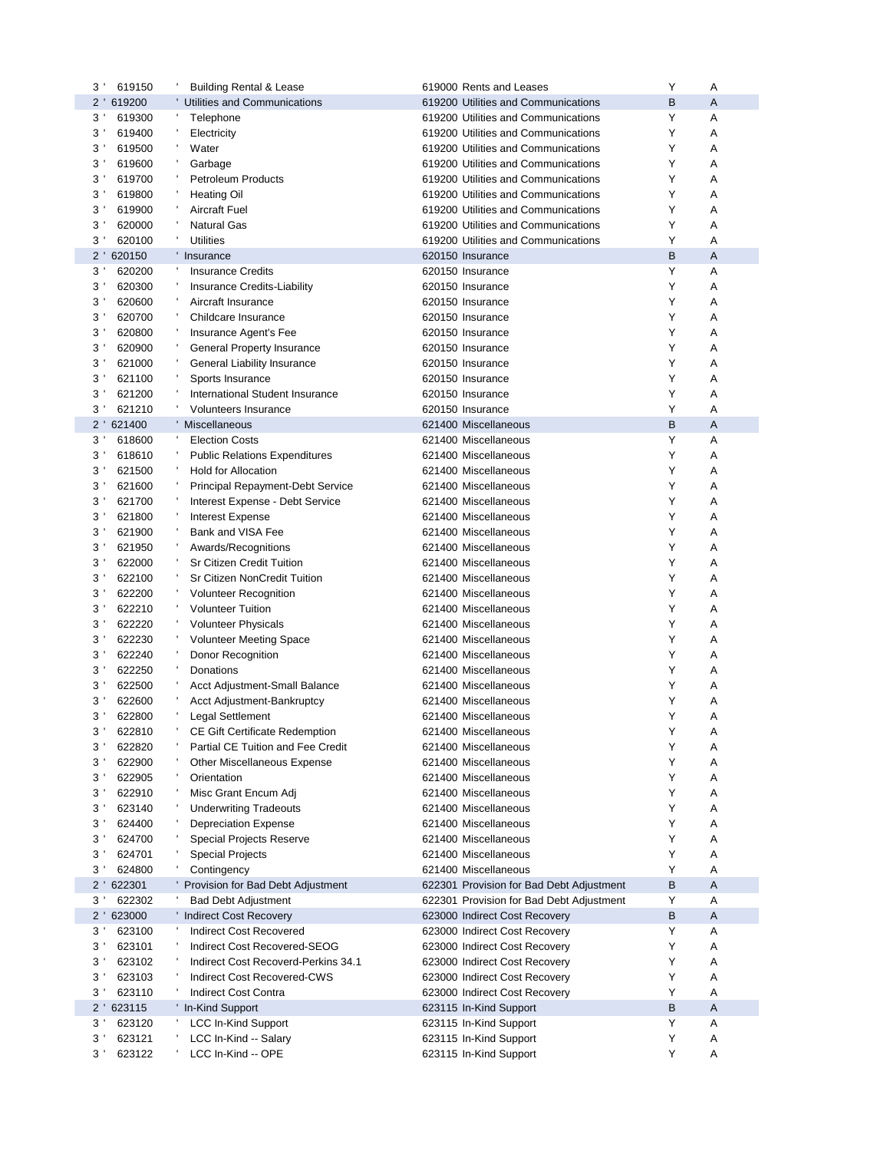| $3^{\prime}$   | 619150     | <b>Building Rental &amp; Lease</b>    | 619000 Rents and Leases                  | Υ | Α |
|----------------|------------|---------------------------------------|------------------------------------------|---|---|
|                | 2 ' 619200 | Utilities and Communications          | 619200 Utilities and Communications      | B | Α |
| $3^{\prime}$   | 619300     | Telephone                             | 619200 Utilities and Communications      | Υ | Α |
| 3'             | 619400     | Electricity                           | 619200 Utilities and Communications      | Υ | Α |
| 3'             | 619500     | Water                                 | 619200 Utilities and Communications      | Y | Α |
| 3'             | 619600     | Garbage                               | 619200 Utilities and Communications      | Υ | Α |
| 3              | 619700     | <b>Petroleum Products</b>             | 619200 Utilities and Communications      | Υ | Α |
| 3 <sup>1</sup> | 619800     | <b>Heating Oil</b>                    | 619200 Utilities and Communications      | Y | Α |
| 3'             | 619900     | <b>Aircraft Fuel</b>                  | 619200 Utilities and Communications      | Y | Α |
| 3 <sup>1</sup> | 620000     | <b>Natural Gas</b>                    | 619200 Utilities and Communications      | Y | Α |
| 3              | 620100     | <b>Utilities</b>                      | 619200 Utilities and Communications      | Y | Α |
|                | 2 ' 620150 | Insurance                             | 620150 Insurance                         | B | A |
| 3 <sup>1</sup> | 620200     | <b>Insurance Credits</b>              | 620150 Insurance                         | Y | Α |
|                |            |                                       |                                          |   |   |
| 3'             | 620300     | Insurance Credits-Liability           | 620150 Insurance                         | Y | Α |
| 3'             | 620600     | Aircraft Insurance                    | 620150 Insurance                         | Y | Α |
| 3'             | 620700     | Childcare Insurance                   | 620150 Insurance                         | Y | Α |
| 3'             | 620800     | Insurance Agent's Fee                 | 620150 Insurance                         | Y | Α |
| 3'             | 620900     | General Property Insurance            | 620150 Insurance                         | Y | Α |
| 3              | 621000     | General Liability Insurance           | 620150 Insurance                         | Y | Α |
| 3'             | 621100     | Sports Insurance                      | 620150 Insurance                         | Υ | Α |
| 3'             | 621200     | International Student Insurance       | 620150 Insurance                         | Y | Α |
| 3 <sup>1</sup> | 621210     | <b>Volunteers Insurance</b>           | 620150 Insurance                         | Y | Α |
|                | 2 '621400  | Miscellaneous                         | 621400 Miscellaneous                     | B | Α |
| $3^{\prime}$   | 618600     | <b>Election Costs</b>                 | 621400 Miscellaneous                     | Y | Α |
| 3 <sup>1</sup> | 618610     | <b>Public Relations Expenditures</b>  | 621400 Miscellaneous                     | Υ | Α |
| 3'             | 621500     | <b>Hold for Allocation</b>            | 621400 Miscellaneous                     | Y | Α |
| 3              | 621600     | Principal Repayment-Debt Service      | 621400 Miscellaneous                     | Υ | Α |
| 3              | 621700     | Interest Expense - Debt Service       | 621400 Miscellaneous                     | Y | Α |
| 3'             | 621800     | <b>Interest Expense</b>               | 621400 Miscellaneous                     | Υ | Α |
| 3'             |            |                                       |                                          | Y | Α |
|                | 621900     | Bank and VISA Fee                     | 621400 Miscellaneous                     |   |   |
| 3              | 621950     | Awards/Recognitions                   | 621400 Miscellaneous                     | Y | Α |
| 3              | 622000     | <b>Sr Citizen Credit Tuition</b>      | 621400 Miscellaneous                     | Y | Α |
| 3 <sup>1</sup> | 622100     | Sr Citizen NonCredit Tuition          | 621400 Miscellaneous                     | Y | Α |
| 3'             | 622200     | <b>Volunteer Recognition</b>          | 621400 Miscellaneous                     | Y | Α |
| 3 <sup>1</sup> | 622210     | <b>Volunteer Tuition</b>              | 621400 Miscellaneous                     | Y | Α |
| 3              | 622220     | <b>Volunteer Physicals</b>            | 621400 Miscellaneous                     | Y | Α |
| 3 <sup>1</sup> | 622230     | <b>Volunteer Meeting Space</b>        | 621400 Miscellaneous                     | Y | Α |
| 3'             | 622240     | Donor Recognition                     | 621400 Miscellaneous                     | Y | Α |
| 3'             | 622250     | Donations                             | 621400 Miscellaneous                     | Y | Α |
| 3              | 622500     | Acct Adjustment-Small Balance         | 621400 Miscellaneous                     | Y | Α |
| 3'             | 622600     | Acct Adjustment-Bankruptcy            | 621400 Miscellaneous                     | Υ | Α |
| 3 <sup>1</sup> | 622800     | Legal Settlement                      | 621400 Miscellaneous                     | Y | Α |
| 3 <sup>1</sup> | 622810     | <b>CE Gift Certificate Redemption</b> | 621400 Miscellaneous                     | Υ | А |
| 3              | 622820     | Partial CE Tuition and Fee Credit     | 621400 Miscellaneous                     | Υ | Α |
| 3'             | 622900     | Other Miscellaneous Expense           | 621400 Miscellaneous                     | Υ | Α |
| 3'             | 622905     | Orientation                           | 621400 Miscellaneous                     | Υ | Α |
| $3^{\prime}$   | 622910     | Misc Grant Encum Adi                  | 621400 Miscellaneous                     | Υ | Α |
| $3^{\prime}$   | 623140     | <b>Underwriting Tradeouts</b>         | 621400 Miscellaneous                     | Υ | Α |
|                |            |                                       |                                          | Υ |   |
| $3^{\prime}$   | 624400     | Depreciation Expense                  | 621400 Miscellaneous                     |   | Α |
| 3 <sup>1</sup> | 624700     | Special Projects Reserve              | 621400 Miscellaneous                     | Υ | Α |
| 3'             | 624701     | <b>Special Projects</b>               | 621400 Miscellaneous                     | Υ | Α |
| 3'             | 624800     | Contingency                           | 621400 Miscellaneous                     | Υ | Α |
| $2^{\prime}$   | 622301     | Provision for Bad Debt Adjustment     | 622301 Provision for Bad Debt Adjustment | B | Α |
| 3 <sup>1</sup> | 622302     | <b>Bad Debt Adjustment</b>            | 622301 Provision for Bad Debt Adjustment | Υ | Α |
| $2^{\prime}$   | 623000     | ' Indirect Cost Recovery              | 623000 Indirect Cost Recovery            | B | Α |
| 3 <sup>1</sup> | 623100     | <b>Indirect Cost Recovered</b>        | 623000 Indirect Cost Recovery            | Υ | Α |
| 3'             | 623101     | Indirect Cost Recovered-SEOG          | 623000 Indirect Cost Recovery            | Υ | Α |
| 3 <sup>1</sup> | 623102     | Indirect Cost Recoverd-Perkins 34.1   | 623000 Indirect Cost Recovery            | Υ | Α |
| $3^{\prime}$   | 623103     | Indirect Cost Recovered-CWS           | 623000 Indirect Cost Recovery            | Y | Α |
| 3 <sup>1</sup> | 623110     | <b>Indirect Cost Contra</b>           | 623000 Indirect Cost Recovery            | Υ | Α |
| $2^{\prime}$   | 623115     | ' In-Kind Support                     | 623115 In-Kind Support                   | B | A |
| 3 <sup>1</sup> | 623120     | <b>LCC In-Kind Support</b>            | 623115 In-Kind Support                   | Υ | Α |
| 3'             | 623121     | LCC In-Kind -- Salary                 | 623115 In-Kind Support                   | Υ | Α |
| 3'             | 623122     | LCC In-Kind -- OPE                    | 623115 In-Kind Support                   | Υ | Α |
|                |            |                                       |                                          |   |   |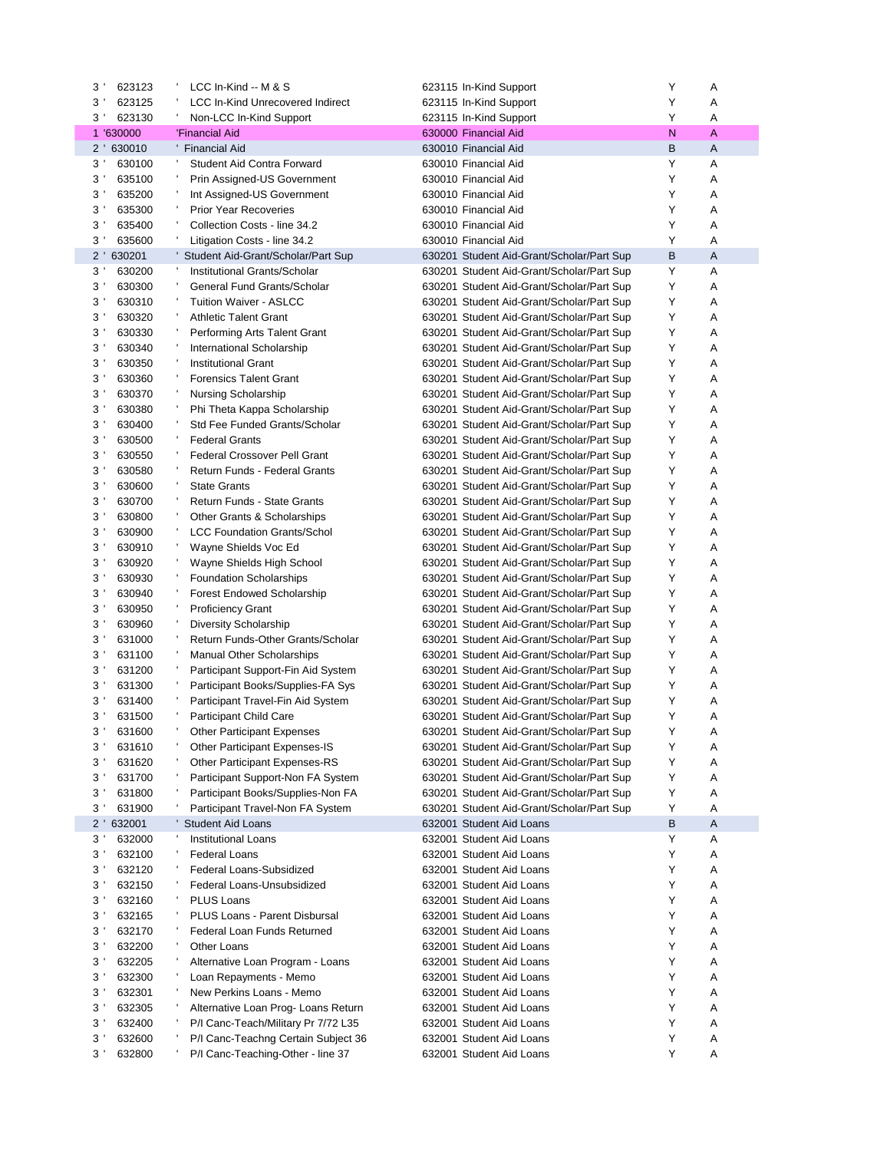| 3'<br>623123             | LCC In-Kind -- M & S                    | 623115 In-Kind Support                    | Υ            | Α |
|--------------------------|-----------------------------------------|-------------------------------------------|--------------|---|
| 3 <sup>1</sup><br>623125 | <b>LCC In-Kind Unrecovered Indirect</b> | 623115 In-Kind Support                    | Υ            | Α |
| $3^{\prime}$<br>623130   | Non-LCC In-Kind Support                 | 623115 In-Kind Support                    | Y            | A |
| 1 '630000                | 'Financial Aid                          | 630000 Financial Aid                      | $\mathsf{N}$ | A |
| $2^{\prime}$<br>630010   | <b>Financial Aid</b>                    | 630010 Financial Aid                      | В            | A |
| $3^{\prime}$<br>630100   | <b>Student Aid Contra Forward</b><br>л, | 630010 Financial Aid                      | Y            | Α |
| 3'<br>635100             | Prin Assigned-US Government             | 630010 Financial Aid                      | Y            | Α |
| 3 <sup>1</sup><br>635200 | Int Assigned-US Government              | 630010 Financial Aid                      | Y            | Α |
| 3'<br>635300             | <b>Prior Year Recoveries</b>            | 630010 Financial Aid                      | Y            | Α |
| 3'<br>635400             | Collection Costs - line 34.2            | 630010 Financial Aid                      | Y            | Α |
| 3'<br>635600             | Litigation Costs - line 34.2            | 630010 Financial Aid                      | Υ            | Α |
| $2^{\prime}$<br>630201   | Student Aid-Grant/Scholar/Part Sup      | 630201 Student Aid-Grant/Scholar/Part Sup | B            | A |
| 3 <sup>1</sup><br>630200 | Institutional Grants/Scholar            | 630201 Student Aid-Grant/Scholar/Part Sup | Υ            | Α |
| 3<br>630300              | General Fund Grants/Scholar             | 630201 Student Aid-Grant/Scholar/Part Sup | Y            | Α |
| 3'<br>630310             | <b>Tuition Waiver - ASLCC</b>           | 630201 Student Aid-Grant/Scholar/Part Sup | Y            | Α |
| 3'<br>630320             | <b>Athletic Talent Grant</b>            | 630201 Student Aid-Grant/Scholar/Part Sup | Y            | Α |
| 3<br>630330              | Performing Arts Talent Grant            | 630201 Student Aid-Grant/Scholar/Part Sup | Y            | Α |
| 3'<br>630340             | International Scholarship               | 630201 Student Aid-Grant/Scholar/Part Sup | Y            | Α |
| 3<br>630350              | <b>Institutional Grant</b>              | 630201 Student Aid-Grant/Scholar/Part Sup | Y            | Α |
| 3 <sup>1</sup><br>630360 | <b>Forensics Talent Grant</b>           | 630201 Student Aid-Grant/Scholar/Part Sup | Y            | Α |
| 3 <sup>1</sup><br>630370 | <b>Nursing Scholarship</b>              | 630201 Student Aid-Grant/Scholar/Part Sup | Υ            | Α |
| 3 <sup>1</sup><br>630380 | Phi Theta Kappa Scholarship             | 630201 Student Aid-Grant/Scholar/Part Sup | Y            | Α |
| 3<br>630400              | Std Fee Funded Grants/Scholar           | 630201 Student Aid-Grant/Scholar/Part Sup | Y            | Α |
| 3'<br>630500             | <b>Federal Grants</b>                   | 630201 Student Aid-Grant/Scholar/Part Sup | Y            | Α |
| 3 <sup>1</sup><br>630550 | <b>Federal Crossover Pell Grant</b>     | 630201 Student Aid-Grant/Scholar/Part Sup | Υ            | Α |
| 3'<br>630580             | Return Funds - Federal Grants           | 630201 Student Aid-Grant/Scholar/Part Sup | Y            | Α |
| 3<br>630600              | <b>State Grants</b>                     | 630201 Student Aid-Grant/Scholar/Part Sup | Y            | Α |
| 3'<br>630700             | Return Funds - State Grants             | 630201 Student Aid-Grant/Scholar/Part Sup | Y            | Α |
| 3 <sup>1</sup><br>630800 | Other Grants & Scholarships             | 630201 Student Aid-Grant/Scholar/Part Sup | Υ            | Α |
| 3'<br>630900             | <b>LCC Foundation Grants/Schol</b>      | 630201 Student Aid-Grant/Scholar/Part Sup | Y            | Α |
| 3<br>630910              | Wayne Shields Voc Ed                    | 630201 Student Aid-Grant/Scholar/Part Sup | Y            | Α |
| 3'<br>630920             | Wayne Shields High School               | 630201 Student Aid-Grant/Scholar/Part Sup | Υ            | Α |
| 3 <sup>1</sup><br>630930 | <b>Foundation Scholarships</b>          | 630201 Student Aid-Grant/Scholar/Part Sup | Y            | Α |
| 3'<br>630940             | <b>Forest Endowed Scholarship</b>       | 630201 Student Aid-Grant/Scholar/Part Sup | Y            | Α |
| 3'<br>630950             | <b>Proficiency Grant</b>                | 630201 Student Aid-Grant/Scholar/Part Sup | Y            | Α |
| 3'<br>630960             | <b>Diversity Scholarship</b>            | 630201 Student Aid-Grant/Scholar/Part Sup | Υ            | Α |
| 3 <sup>1</sup><br>631000 | Return Funds-Other Grants/Scholar       | 630201 Student Aid-Grant/Scholar/Part Sup | Y            | Α |
| 3<br>631100              | <b>Manual Other Scholarships</b>        | 630201 Student Aid-Grant/Scholar/Part Sup | Y            | Α |
| 3'<br>631200             | Participant Support-Fin Aid System      | 630201 Student Aid-Grant/Scholar/Part Sup | Y            | Α |
| 3'<br>631300             | Participant Books/Supplies-FA Sys       | 630201 Student Aid-Grant/Scholar/Part Sup | Y            | Α |
| 3'<br>631400             | Participant Travel-Fin Aid System       | 630201 Student Aid-Grant/Scholar/Part Sup | Y            | Α |
| 3 <sup>1</sup><br>631500 | <b>Participant Child Care</b>           | 630201 Student Aid-Grant/Scholar/Part Sup | Y            | Α |
| 3'<br>631600             | <b>Other Participant Expenses</b>       | 630201 Student Aid-Grant/Scholar/Part Sup | Y            | Α |
| 3'<br>631610             | Other Participant Expenses-IS           | 630201 Student Aid-Grant/Scholar/Part Sup | Υ            | Α |
| $3^{\prime}$<br>631620   | Other Participant Expenses-RS           | 630201 Student Aid-Grant/Scholar/Part Sup | Υ            | Α |
| $3^{\prime}$<br>631700   | Participant Support-Non FA System       | 630201 Student Aid-Grant/Scholar/Part Sup | Υ            | Α |
| $3^{\prime}$<br>631800   | Participant Books/Supplies-Non FA       | 630201 Student Aid-Grant/Scholar/Part Sup | Υ            | Α |
| 3'<br>631900             | Participant Travel-Non FA System        | 630201 Student Aid-Grant/Scholar/Part Sup | Υ            | Α |
| $2^{\prime}$<br>632001   | <b>Student Aid Loans</b>                | 632001 Student Aid Loans                  | B            | Α |
| 3 <sup>1</sup><br>632000 | <b>Institutional Loans</b>              | 632001 Student Aid Loans                  | Υ            | Α |
| $3^{\prime}$<br>632100   | <b>Federal Loans</b>                    | 632001 Student Aid Loans                  | Y            | Α |
| $3^{\prime}$<br>632120   | Federal Loans-Subsidized                | 632001 Student Aid Loans                  | Υ            | Α |
| $3^{\prime}$<br>632150   | Federal Loans-Unsubsidized              | 632001 Student Aid Loans                  | Y            | Α |
| $3^{\prime}$<br>632160   | <b>PLUS Loans</b>                       | 632001 Student Aid Loans                  | Υ            | Α |
| $3^{\prime}$<br>632165   | PLUS Loans - Parent Disbursal           | 632001 Student Aid Loans                  | Y            | Α |
| $3^{\prime}$<br>632170   | Federal Loan Funds Returned             | 632001 Student Aid Loans                  | Υ            | Α |
| 3'<br>632200             | Other Loans                             | 632001 Student Aid Loans                  | Y            | Α |
| 3 <sup>1</sup><br>632205 | Alternative Loan Program - Loans        | 632001 Student Aid Loans                  | Y            | Α |
| 3'<br>632300             | Loan Repayments - Memo                  | 632001 Student Aid Loans                  | Y            | Α |
| 3<br>632301              | New Perkins Loans - Memo                | 632001 Student Aid Loans                  | Y            | Α |
| 3'<br>632305             | Alternative Loan Prog-Loans Return      | 632001 Student Aid Loans                  | Y            | Α |
| $3^{\prime}$<br>632400   | P/I Canc-Teach/Military Pr 7/72 L35     | 632001 Student Aid Loans                  | Y            | Α |
| $3^{\prime}$<br>632600   | P/I Canc-Teachng Certain Subject 36     | 632001 Student Aid Loans                  | Y            | Α |
| 632800<br>$3^{\prime}$   | P/I Canc-Teaching-Other - line 37       | 632001 Student Aid Loans                  | Y            | Α |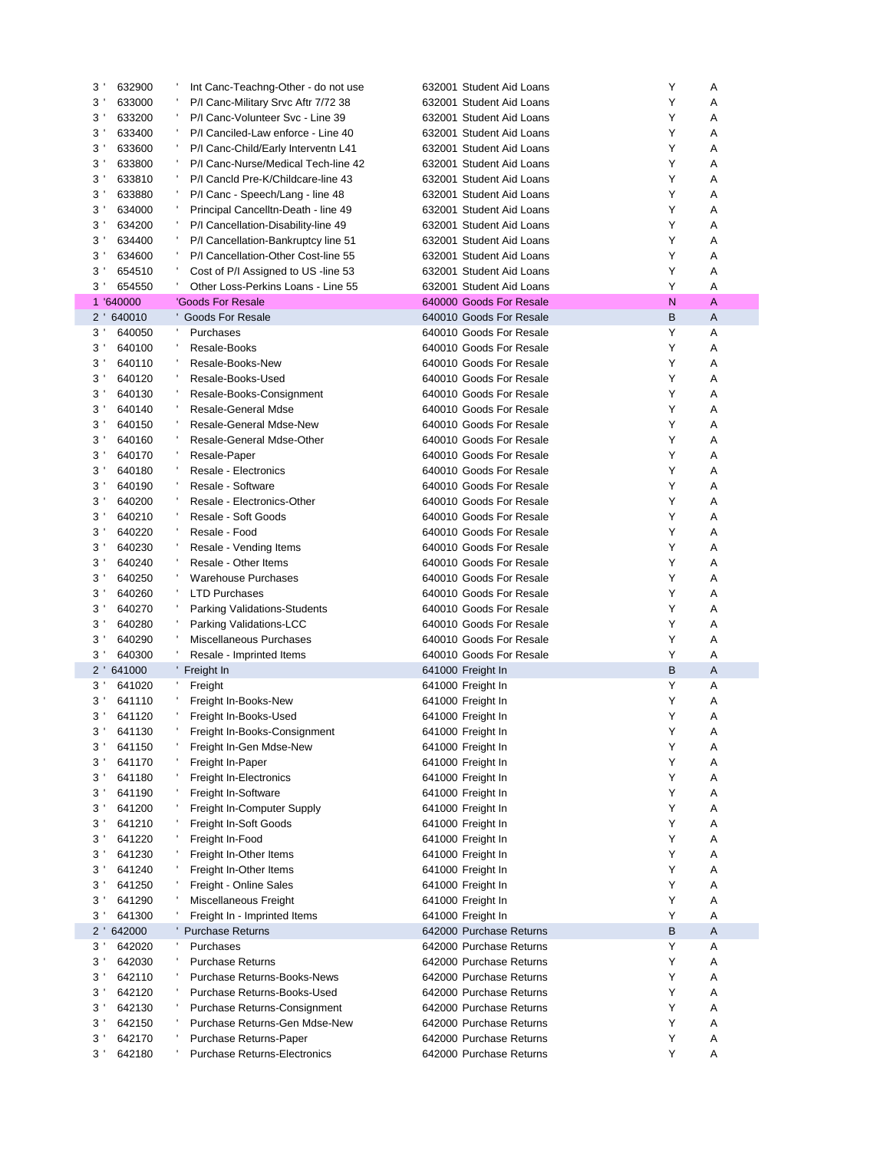| 3'<br>632900             | Int Canc-Teachng-Other - do not use | 632001 Student Aid Loans | Y<br>Α |
|--------------------------|-------------------------------------|--------------------------|--------|
| 3 <sup>1</sup><br>633000 | P/I Canc-Military Srvc Aftr 7/72 38 | 632001 Student Aid Loans | Y<br>Α |
| 3'<br>633200             | P/I Canc-Volunteer Svc - Line 39    | 632001 Student Aid Loans | Y<br>Α |
| 3'<br>633400             | P/I Canciled-Law enforce - Line 40  | 632001 Student Aid Loans | Y<br>Α |
| $3^{\prime}$<br>633600   | P/I Canc-Child/Early Interventn L41 | 632001 Student Aid Loans | Y<br>Α |
| 3'<br>633800             | P/I Canc-Nurse/Medical Tech-line 42 | 632001 Student Aid Loans | Υ<br>Α |
| 3'<br>633810             | P/I Cancld Pre-K/Childcare-line 43  | 632001 Student Aid Loans | Y<br>Α |
| 3'<br>633880             | P/I Canc - Speech/Lang - line 48    | 632001 Student Aid Loans | Y<br>Α |
| 3'<br>634000             | Principal Cancelltn-Death - line 49 | 632001 Student Aid Loans | Y<br>Α |
|                          |                                     |                          | Y<br>Α |
| 3'<br>634200             | P/I Cancellation-Disability-line 49 | 632001 Student Aid Loans | Y      |
| 3'<br>634400             | P/I Cancellation-Bankruptcy line 51 | 632001 Student Aid Loans | Α      |
| 3'<br>634600             | P/I Cancellation-Other Cost-line 55 | 632001 Student Aid Loans | Y<br>Α |
| 3'<br>654510             | Cost of P/I Assigned to US -line 53 | 632001 Student Aid Loans | Y<br>Α |
| $3^{\prime}$<br>654550   | Other Loss-Perkins Loans - Line 55  | 632001 Student Aid Loans | Y<br>A |
| 1 '640000                | 'Goods For Resale                   | 640000 Goods For Resale  | N<br>A |
| $2^{\prime}$<br>640010   | <b>Goods For Resale</b>             | 640010 Goods For Resale  | B<br>A |
| 3'<br>640050             | Purchases                           | 640010 Goods For Resale  | Y<br>Α |
| 3'<br>640100             | Resale-Books                        | 640010 Goods For Resale  | Y<br>Α |
| 3'<br>640110             | Resale-Books-New                    | 640010 Goods For Resale  | Y<br>Α |
| 3 <sup>1</sup><br>640120 | Resale-Books-Used                   | 640010 Goods For Resale  | Y<br>Α |
| 3'<br>640130             | Resale-Books-Consignment            | 640010 Goods For Resale  | Y<br>Α |
| $3^{\prime}$<br>640140   | Resale-General Mdse                 | 640010 Goods For Resale  | Y<br>Α |
| 3'<br>640150             | Resale-General Mdse-New             | 640010 Goods For Resale  | Y<br>Α |
| $3^{\prime}$<br>640160   | Resale-General Mdse-Other           | 640010 Goods For Resale  | Y<br>Α |
| 3'<br>640170             | Resale-Paper                        | 640010 Goods For Resale  | Y<br>Α |
| $3^{\prime}$<br>640180   | Resale - Electronics                | 640010 Goods For Resale  | Y<br>Α |
| 3'<br>640190             | Resale - Software                   | 640010 Goods For Resale  | Y<br>Α |
| $3^{\prime}$<br>640200   | Resale - Electronics-Other          | 640010 Goods For Resale  | Y<br>Α |
|                          |                                     |                          | Y      |
| 3'<br>640210             | Resale - Soft Goods                 | 640010 Goods For Resale  | Α      |
| $3^{\prime}$<br>640220   | Resale - Food                       | 640010 Goods For Resale  | Y<br>Α |
| 3'<br>640230             | Resale - Vending Items              | 640010 Goods For Resale  | Y<br>Α |
| 3'<br>640240             | Resale - Other Items                | 640010 Goods For Resale  | Y<br>Α |
| 3'<br>640250             | <b>Warehouse Purchases</b>          | 640010 Goods For Resale  | Y<br>Α |
| $3^{\prime}$<br>640260   | <b>LTD Purchases</b>                | 640010 Goods For Resale  | Y<br>Α |
| 640270<br>3'             | <b>Parking Validations-Students</b> | 640010 Goods For Resale  | Y<br>Α |
| 3'<br>640280             | Parking Validations-LCC             | 640010 Goods For Resale  | Y<br>Α |
| $3^{\prime}$<br>640290   | Miscellaneous Purchases             | 640010 Goods For Resale  | Y<br>Α |
| $3^{\prime}$<br>640300   | Resale - Imprinted Items            | 640010 Goods For Resale  | Y<br>Α |
| $2^{\prime}$<br>641000   | ' Freight In                        | 641000 Freight In        | B<br>A |
| 3'<br>641020             | л.<br>Freight                       | 641000 Freight In        | Y<br>Α |
| 3'<br>641110             | Freight In-Books-New                | 641000 Freight In        | Υ<br>Α |
| 3 <sup>1</sup><br>641120 | Freight In-Books-Used               | 641000 Freight In        | Y<br>Α |
| 3'<br>641130             | Freight In-Books-Consignment        | 641000 Freight In        | Υ<br>Α |
| 3 <sup>1</sup><br>641150 | Freight In-Gen Mdse-New             | 641000 Freight In        | Υ<br>Α |
| 3'<br>641170             | Freight In-Paper                    | 641000 Freight In        | Υ<br>Α |
| 3 <sup>1</sup><br>641180 | Freight In-Electronics              | 641000 Freight In        | Υ<br>Α |
|                          |                                     |                          | Υ      |
| 3 <sup>1</sup><br>641190 | Freight In-Software                 | 641000 Freight In        | Α      |
| $3^{\prime}$<br>641200   | Freight In-Computer Supply          | 641000 Freight In        | Υ<br>Α |
| 3 <sup>1</sup><br>641210 | Freight In-Soft Goods               | 641000 Freight In        | Υ<br>Α |
| 3 <sup>1</sup><br>641220 | Freight In-Food                     | 641000 Freight In        | Υ<br>Α |
| $3^{\prime}$<br>641230   | Freight In-Other Items              | 641000 Freight In        | Υ<br>Α |
| $3^{\prime}$<br>641240   | Freight In-Other Items              | 641000 Freight In        | Υ<br>Α |
| $3^{\prime}$<br>641250   | Freight - Online Sales              | 641000 Freight In        | Υ<br>Α |
| 3 <sup>1</sup><br>641290 | Miscellaneous Freight               | 641000 Freight In        | Υ<br>Α |
| 3 <sup>1</sup><br>641300 | Freight In - Imprinted Items        | 641000 Freight In        | Υ<br>Α |
| $2^{\prime}$<br>642000   | ' Purchase Returns                  | 642000 Purchase Returns  | B<br>A |
| 642020<br>$3^{\prime}$   | Purchases                           | 642000 Purchase Returns  | Υ<br>Α |
| 642030<br>3 <sup>1</sup> | <b>Purchase Returns</b>             | 642000 Purchase Returns  | Υ<br>Α |
| 3 <sup>1</sup><br>642110 | Purchase Returns-Books-News         | 642000 Purchase Returns  | Υ<br>Α |
| 642120<br>$3^{\prime}$   | Purchase Returns-Books-Used         | 642000 Purchase Returns  | Υ<br>Α |
| 3'<br>642130             | Purchase Returns-Consignment        | 642000 Purchase Returns  | Υ<br>Α |
|                          |                                     |                          | Υ      |
| 3 <sup>1</sup><br>642150 | Purchase Returns-Gen Mdse-New       | 642000 Purchase Returns  | Α      |
| 642170<br>3 <sup>1</sup> | Purchase Returns-Paper              | 642000 Purchase Returns  | Υ<br>Α |
| 3 <sup>1</sup><br>642180 | Purchase Returns-Electronics        | 642000 Purchase Returns  | Υ<br>Α |